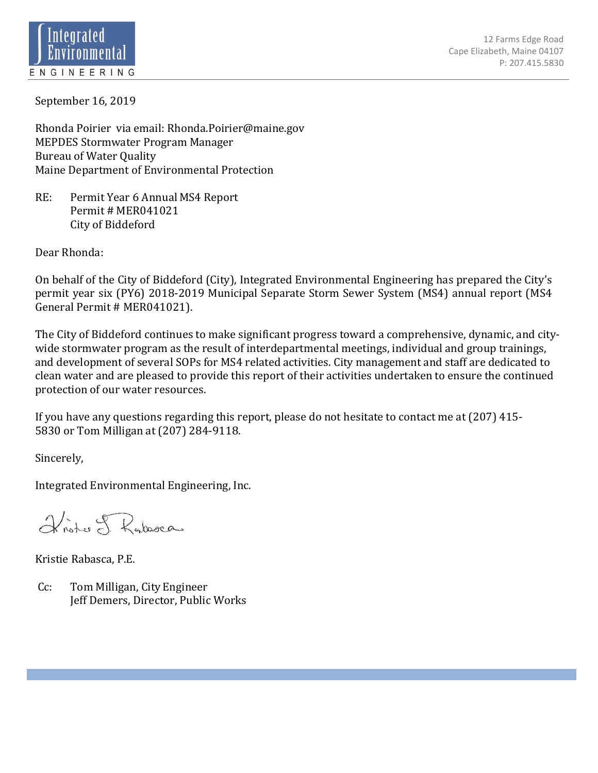

September 16, 2019

Rhonda Poirier via email: Rhonda.Poirier@maine.gov MEPDES Stormwater Program Manager Bureau of Water Quality Maine Department of Environmental Protection

RE: Permit Year 6 Annual MS4 Report Permit # MER041021 City of Biddeford

Dear Rhonda:

On behalf of the City of Biddeford (City), Integrated Environmental Engineering has prepared the City's permit year six (PY6) 2018-2019 Municipal Separate Storm Sewer System (MS4) annual report (MS4 General Permit # MER041021).

The City of Biddeford continues to make significant progress toward a comprehensive, dynamic, and citywide stormwater program as the result of interdepartmental meetings, individual and group trainings, and development of several SOPs for MS4 related activities. City management and staff are dedicated to clean water and are pleased to provide this report of their activities undertaken to ensure the continued protection of our water resources.

If you have any questions regarding this report, please do not hesitate to contact me at (207) 415- 5830 or Tom Milligan at (207) 284-9118.

Sincerely,

Integrated Environmental Engineering, Inc.

Friste of Rabasca

Kristie Rabasca, P.E.

 Cc: Tom Milligan, City Engineer Jeff Demers, Director, Public Works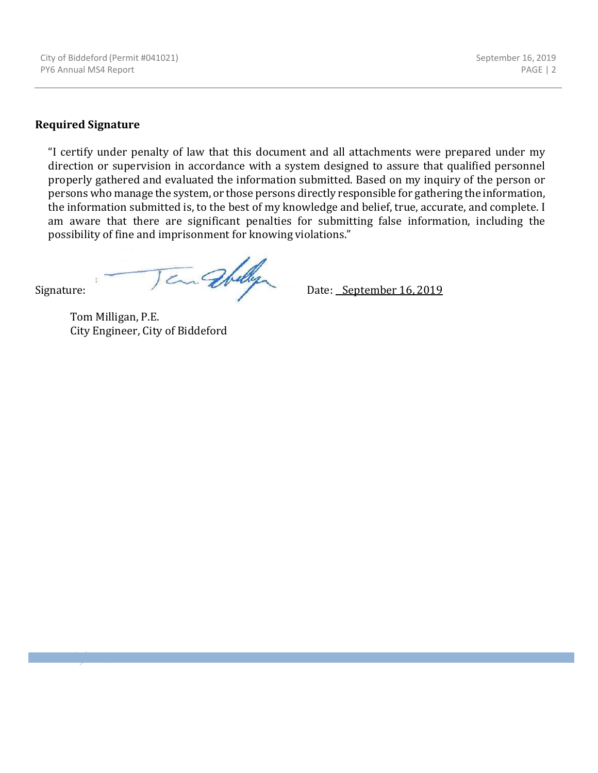#### **Required Signature**

"I certify under penalty of law that this document and all attachments were prepared under my direction or supervision in accordance with a system designed to assure that qualified personnel properly gathered and evaluated the information submitted. Based on my inquiry of the person or persons who manage the system, or those persons directly responsible for gathering the information, the information submitted is, to the best of my knowledge and belief, true, accurate, and complete. I am aware that there are significant penalties for submitting false information, including the possibility of fine and imprisonment for knowing violations."

Signature: Jan Whelly Date: <u>September 16, 2019</u>

Tom Milligan, P.E. City Engineer, City of Biddeford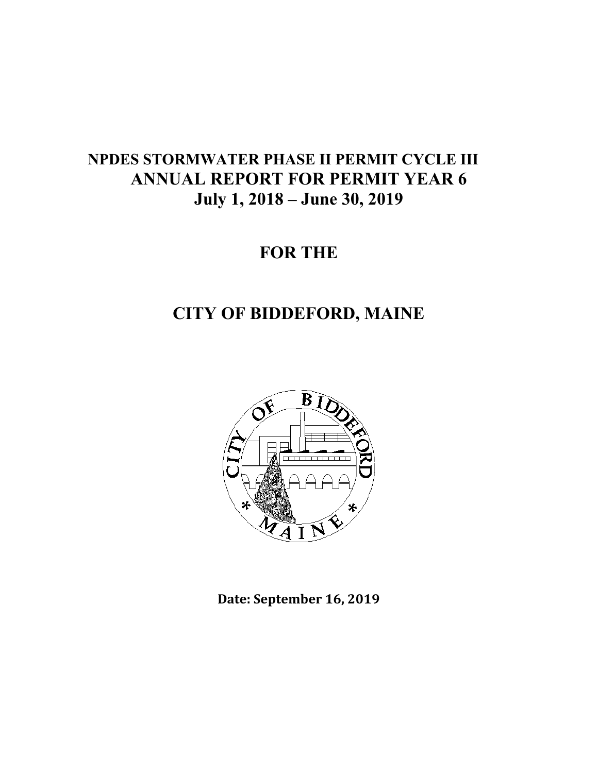## **NPDES STORMWATER PHASE II PERMIT CYCLE III ANNUAL REPORT FOR PERMIT YEAR 6 July 1, 2018 – June 30, 2019**

# **FOR THE**

## **CITY OF BIDDEFORD, MAINE**



**Date: September 16, 2019**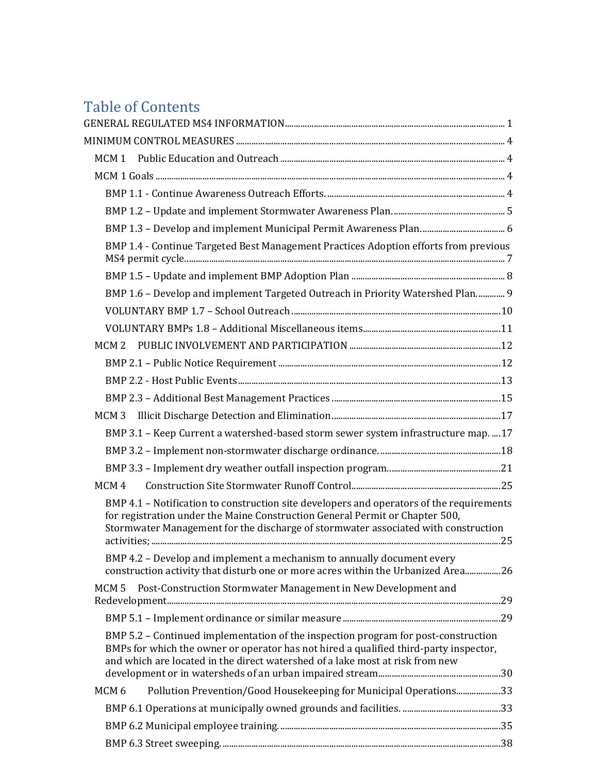## Table of Contents

| BMP 1.4 - Continue Targeted Best Management Practices Adoption efforts from previous                                                                                                                                                                           |  |
|----------------------------------------------------------------------------------------------------------------------------------------------------------------------------------------------------------------------------------------------------------------|--|
|                                                                                                                                                                                                                                                                |  |
| BMP 1.6 - Develop and implement Targeted Outreach in Priority Watershed Plan 9                                                                                                                                                                                 |  |
|                                                                                                                                                                                                                                                                |  |
|                                                                                                                                                                                                                                                                |  |
|                                                                                                                                                                                                                                                                |  |
|                                                                                                                                                                                                                                                                |  |
|                                                                                                                                                                                                                                                                |  |
|                                                                                                                                                                                                                                                                |  |
|                                                                                                                                                                                                                                                                |  |
| BMP 3.1 - Keep Current a watershed-based storm sewer system infrastructure map.  17                                                                                                                                                                            |  |
|                                                                                                                                                                                                                                                                |  |
|                                                                                                                                                                                                                                                                |  |
| MCM <sub>4</sub>                                                                                                                                                                                                                                               |  |
| BMP 4.1 - Notification to construction site developers and operators of the requirements<br>for registration under the Maine Construction General Permit or Chapter 500,<br>Stormwater Management for the discharge of stormwater associated with construction |  |
| BMP 4.2 - Develop and implement a mechanism to annually document every<br>construction activity that disturb one or more acres within the Urbanized Area26                                                                                                     |  |
| Post-Construction Stormwater Management in New Development and<br>MCM <sub>5</sub>                                                                                                                                                                             |  |
|                                                                                                                                                                                                                                                                |  |
| BMP 5.2 - Continued implementation of the inspection program for post-construction<br>BMPs for which the owner or operator has not hired a qualified third-party inspector,<br>and which are located in the direct watershed of a lake most at risk from new   |  |
| Pollution Prevention/Good Housekeeping for Municipal Operations33<br>MCM <sub>6</sub>                                                                                                                                                                          |  |
|                                                                                                                                                                                                                                                                |  |
|                                                                                                                                                                                                                                                                |  |
|                                                                                                                                                                                                                                                                |  |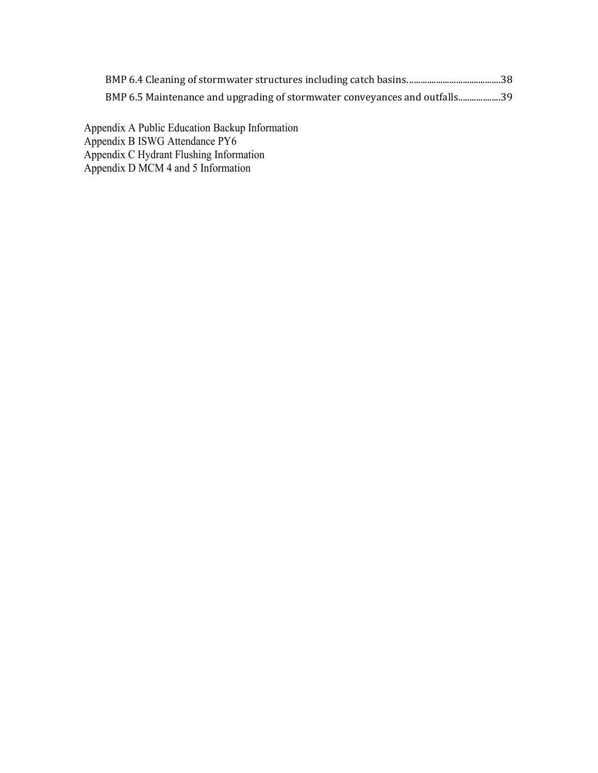| BMP 6.5 Maintenance and upgrading of stormwater conveyances and outfalls39 |  |
|----------------------------------------------------------------------------|--|

Appendix A Public Education Backup Information Appendix B ISWG Attendance PY6 Appendix C Hydrant Flushing Information Appendix D MCM 4 and 5 Information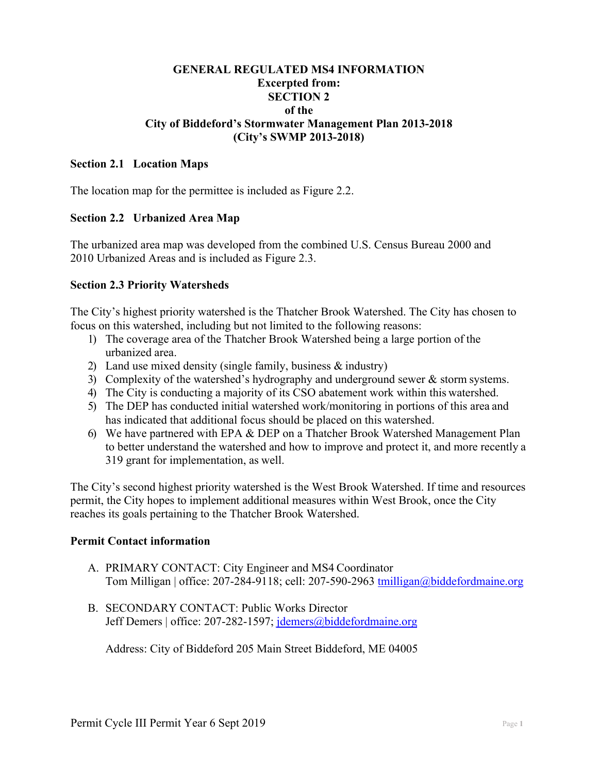## **GENERAL REGULATED MS4 INFORMATION Excerpted from: SECTION 2 of the City of Biddeford's Stormwater Management Plan 2013-2018 (City's SWMP 2013-2018)**

#### **Section 2.1 Location Maps**

The location map for the permittee is included as Figure 2.2.

#### **Section 2.2 Urbanized Area Map**

The urbanized area map was developed from the combined U.S. Census Bureau 2000 and 2010 Urbanized Areas and is included as Figure 2.3.

#### **Section 2.3 Priority Watersheds**

The City's highest priority watershed is the Thatcher Brook Watershed. The City has chosen to focus on this watershed, including but not limited to the following reasons:

- 1) The coverage area of the Thatcher Brook Watershed being a large portion of the urbanized area.
- 2) Land use mixed density (single family, business & industry)
- 3) Complexity of the watershed's hydrography and underground sewer & storm systems.
- 4) The City is conducting a majority of its CSO abatement work within this watershed.
- 5) The DEP has conducted initial watershed work/monitoring in portions of this area and has indicated that additional focus should be placed on this watershed.
- 6) We have partnered with EPA & DEP on a Thatcher Brook Watershed Management Plan to better understand the watershed and how to improve and protect it, and more recently a 319 grant for implementation, as well.

The City's second highest priority watershed is the West Brook Watershed. If time and resources permit, the City hopes to implement additional measures within West Brook, once the City reaches its goals pertaining to the Thatcher Brook Watershed.

#### **Permit Contact information**

- A. PRIMARY CONTACT: City Engineer and MS4 Coordinator Tom Milligan | office: 207-284-9118; cell: 207-590-2963 tmilligan@biddefordmaine.org
- B. SECONDARY CONTACT: Public Works Director Jeff Demers | office: 207-282-1597; jdemers@biddefordmaine.org

Address: City of Biddeford 205 Main Street Biddeford, ME 04005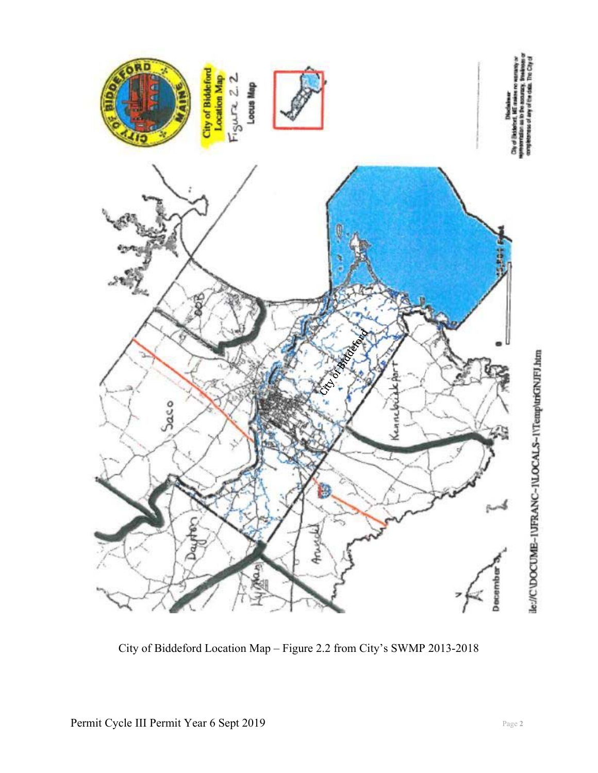

City of Biddeford Location Map – Figure 2.2 from City's SWMP 2013-2018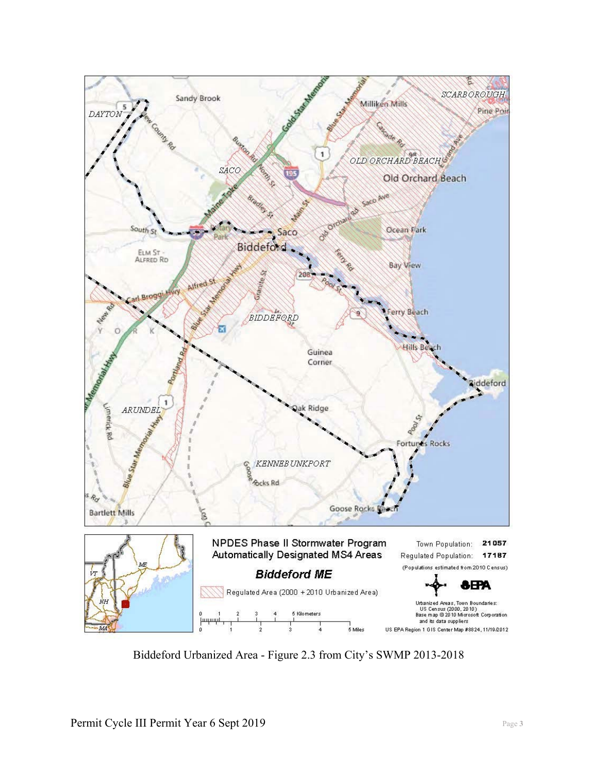

Biddeford Urbanized Area - Figure 2.3 from City's SWMP 2013-2018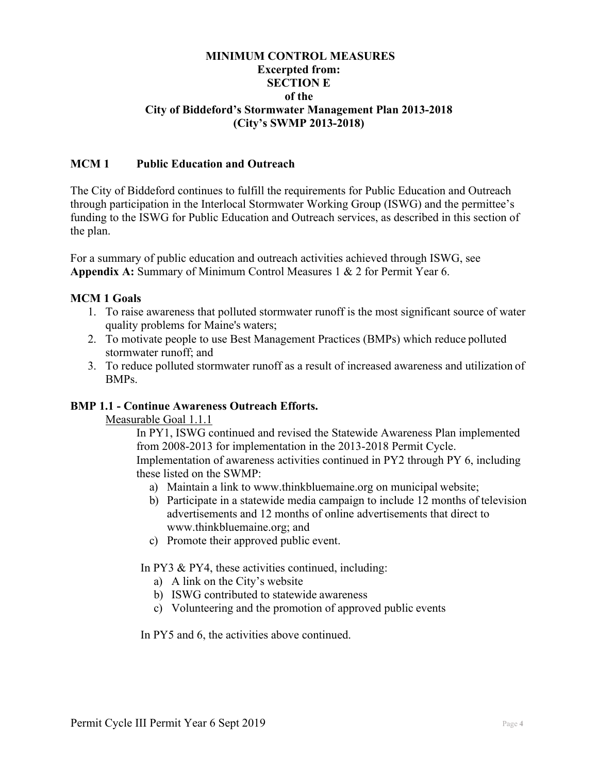## **MINIMUM CONTROL MEASURES Excerpted from: SECTION E of the City of Biddeford's Stormwater Management Plan 2013-2018 (City's SWMP 2013-2018)**

## **MCM 1 Public Education and Outreach**

The City of Biddeford continues to fulfill the requirements for Public Education and Outreach through participation in the Interlocal Stormwater Working Group (ISWG) and the permittee's funding to the ISWG for Public Education and Outreach services, as described in this section of the plan.

For a summary of public education and outreach activities achieved through ISWG, see **Appendix A:** Summary of Minimum Control Measures 1 & 2 for Permit Year 6.

## **MCM 1 Goals**

- 1. To raise awareness that polluted stormwater runoff is the most significant source of water quality problems for Maine's waters;
- 2. To motivate people to use Best Management Practices (BMPs) which reduce polluted stormwater runoff; and
- 3. To reduce polluted stormwater runoff as a result of increased awareness and utilization of BMPs.

#### **BMP 1.1 - Continue Awareness Outreach Efforts.**

Measurable Goal 1.1.1

In PY1, ISWG continued and revised the Statewide Awareness Plan implemented from 2008-2013 for implementation in the 2013-2018 Permit Cycle. Implementation of awareness activities continued in PY2 through PY 6, including these listed on the SWMP:

- a) Maintain a link to www.thinkbluemaine.org on municipal website;
- b) Participate in a statewide media campaign to include 12 months of television advertisements and 12 months of online advertisements that direct to www.thinkbluemaine.org; and
- c) Promote their approved public event.

In PY3 & PY4, these activities continued, including:

- a) A link on the City's website
- b) ISWG contributed to statewide awareness
- c) Volunteering and the promotion of approved public events

In PY5 and 6, the activities above continued.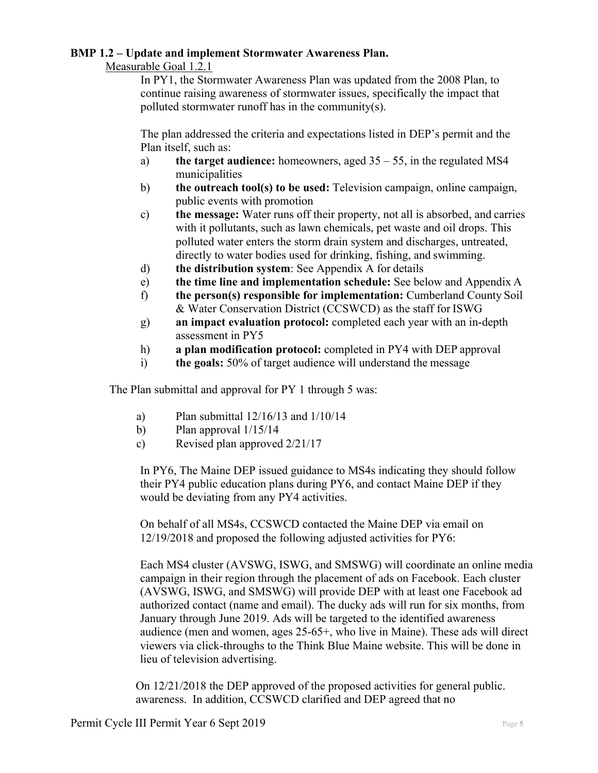#### **BMP 1.2 – Update and implement Stormwater Awareness Plan.**

#### Measurable Goal 1.2.1

In PY1, the Stormwater Awareness Plan was updated from the 2008 Plan, to continue raising awareness of stormwater issues, specifically the impact that polluted stormwater runoff has in the community(s).

The plan addressed the criteria and expectations listed in DEP's permit and the Plan itself, such as:

- a) **the target audience:** homeowners, aged 35 55, in the regulated MS4 municipalities
- b) **the outreach tool(s) to be used:** Television campaign, online campaign, public events with promotion
- c) **the message:** Water runs off their property, not all is absorbed, and carries with it pollutants, such as lawn chemicals, pet waste and oil drops. This polluted water enters the storm drain system and discharges, untreated, directly to water bodies used for drinking, fishing, and swimming.
- d) **the distribution system**: See Appendix A for details
- e) **the time line and implementation schedule:** See below and Appendix A
- f) **the person(s) responsible for implementation:** Cumberland County Soil & Water Conservation District (CCSWCD) as the staff for ISWG
- g) **an impact evaluation protocol:** completed each year with an in-depth assessment in PY5
- h) **a plan modification protocol:** completed in PY4 with DEP approval
- i) **the goals:** 50% of target audience will understand the message

The Plan submittal and approval for PY 1 through 5 was:

- a) Plan submittal 12/16/13 and 1/10/14
- b) Plan approval  $1/15/14$
- c) Revised plan approved 2/21/17

In PY6, The Maine DEP issued guidance to MS4s indicating they should follow their PY4 public education plans during PY6, and contact Maine DEP if they would be deviating from any PY4 activities.

On behalf of all MS4s, CCSWCD contacted the Maine DEP via email on 12/19/2018 and proposed the following adjusted activities for PY6:

Each MS4 cluster (AVSWG, ISWG, and SMSWG) will coordinate an online media campaign in their region through the placement of ads on Facebook. Each cluster (AVSWG, ISWG, and SMSWG) will provide DEP with at least one Facebook ad authorized contact (name and email). The ducky ads will run for six months, from January through June 2019. Ads will be targeted to the identified awareness audience (men and women, ages 25‐65+, who live in Maine). These ads will direct viewers via click‐throughs to the Think Blue Maine website. This will be done in lieu of television advertising.

On 12/21/2018 the DEP approved of the proposed activities for general public. awareness. In addition, CCSWCD clarified and DEP agreed that no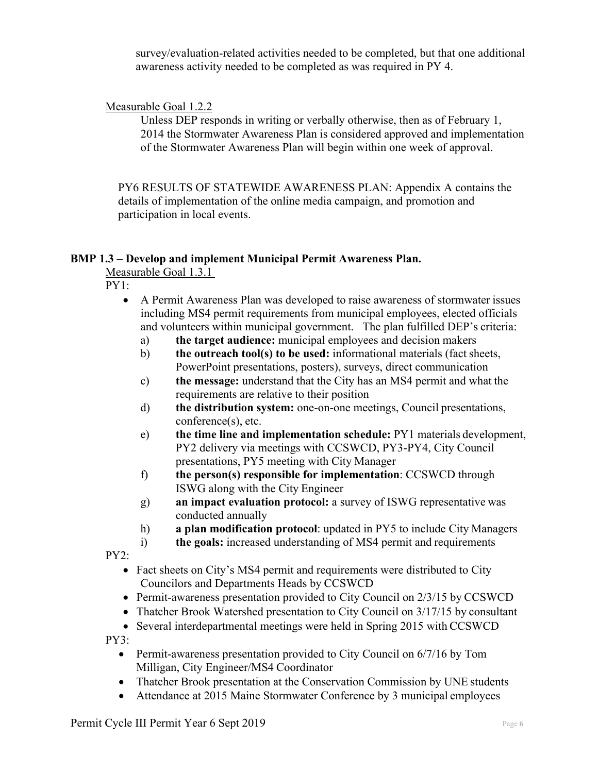survey/evaluation-related activities needed to be completed, but that one additional awareness activity needed to be completed as was required in PY 4.

## Measurable Goal 1.2.2

Unless DEP responds in writing or verbally otherwise, then as of February 1, 2014 the Stormwater Awareness Plan is considered approved and implementation of the Stormwater Awareness Plan will begin within one week of approval.

PY6 RESULTS OF STATEWIDE AWARENESS PLAN: Appendix A contains the details of implementation of the online media campaign, and promotion and participation in local events.

#### **BMP 1.3 – Develop and implement Municipal Permit Awareness Plan.**

Measurable Goal 1.3.1

PY1:

- A Permit Awareness Plan was developed to raise awareness of stormwater issues including MS4 permit requirements from municipal employees, elected officials and volunteers within municipal government. The plan fulfilled DEP's criteria:
	- a) **the target audience:** municipal employees and decision makers
	- b) **the outreach tool(s) to be used:** informational materials (fact sheets, PowerPoint presentations, posters), surveys, direct communication
	- c) **the message:** understand that the City has an MS4 permit and what the requirements are relative to their position
	- d) **the distribution system:** one-on-one meetings, Council presentations, conference(s), etc.
	- e) **the time line and implementation schedule:** PY1 materials development, PY2 delivery via meetings with CCSWCD, PY3-PY4, City Council presentations, PY5 meeting with City Manager
	- f) **the person(s) responsible for implementation**: CCSWCD through ISWG along with the City Engineer
	- g) **an impact evaluation protocol:** a survey of ISWG representative was conducted annually
	- h) **a plan modification protocol**: updated in PY5 to include City Managers
	- i) **the goals:** increased understanding of MS4 permit and requirements

PY2:

- Fact sheets on City's MS4 permit and requirements were distributed to City Councilors and Departments Heads by CCSWCD
- Permit-awareness presentation provided to City Council on 2/3/15 by CCSWCD
- Thatcher Brook Watershed presentation to City Council on 3/17/15 by consultant
- Several interdepartmental meetings were held in Spring 2015 with CCSWCD PY3:
	- Permit-awareness presentation provided to City Council on 6/7/16 by Tom Milligan, City Engineer/MS4 Coordinator
	- Thatcher Brook presentation at the Conservation Commission by UNE students
	- Attendance at 2015 Maine Stormwater Conference by 3 municipal employees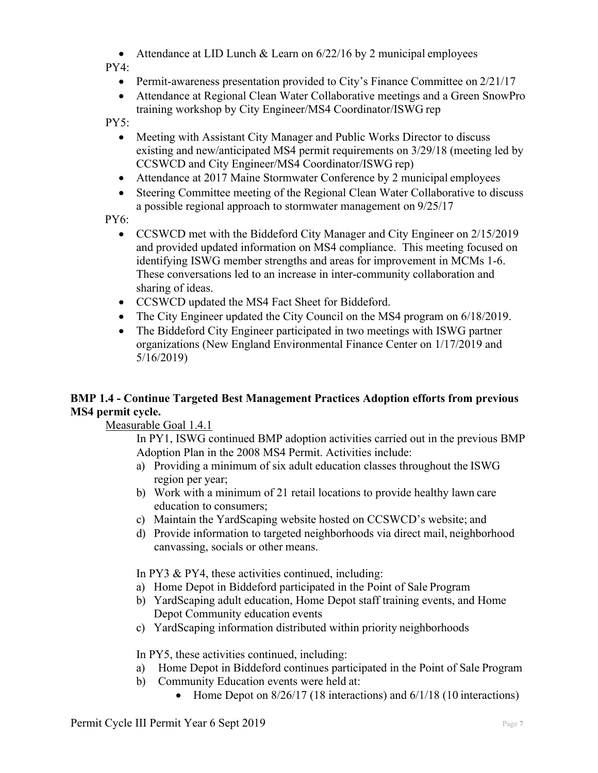• Attendance at LID Lunch & Learn on  $6/22/16$  by 2 municipal employees

PY4:

- Permit-awareness presentation provided to City's Finance Committee on  $2/21/17$
- Attendance at Regional Clean Water Collaborative meetings and a Green SnowPro training workshop by City Engineer/MS4 Coordinator/ISWG rep

PY5:

- Meeting with Assistant City Manager and Public Works Director to discuss existing and new/anticipated MS4 permit requirements on 3/29/18 (meeting led by CCSWCD and City Engineer/MS4 Coordinator/ISWG rep)
- Attendance at 2017 Maine Stormwater Conference by 2 municipal employees
- Steering Committee meeting of the Regional Clean Water Collaborative to discuss a possible regional approach to stormwater management on 9/25/17

PY6:

- CCSWCD met with the Biddeford City Manager and City Engineer on 2/15/2019 and provided updated information on MS4 compliance. This meeting focused on identifying ISWG member strengths and areas for improvement in MCMs 1-6. These conversations led to an increase in inter-community collaboration and sharing of ideas.
- CCSWCD updated the MS4 Fact Sheet for Biddeford.
- The City Engineer updated the City Council on the MS4 program on 6/18/2019.
- The Biddeford City Engineer participated in two meetings with ISWG partner organizations (New England Environmental Finance Center on 1/17/2019 and 5/16/2019)

## **BMP 1.4 - Continue Targeted Best Management Practices Adoption efforts from previous MS4 permit cycle.**

Measurable Goal 1.4.1

In PY1, ISWG continued BMP adoption activities carried out in the previous BMP Adoption Plan in the 2008 MS4 Permit. Activities include:

- a) Providing a minimum of six adult education classes throughout the ISWG region per year;
- b) Work with a minimum of 21 retail locations to provide healthy lawn care education to consumers;
- c) Maintain the YardScaping website hosted on CCSWCD's website; and
- d) Provide information to targeted neighborhoods via direct mail, neighborhood canvassing, socials or other means.

In PY3 & PY4, these activities continued, including:

- a) Home Depot in Biddeford participated in the Point of Sale Program
- b) YardScaping adult education, Home Depot staff training events, and Home Depot Community education events
- c) YardScaping information distributed within priority neighborhoods

In PY5, these activities continued, including:

- a) Home Depot in Biddeford continues participated in the Point of Sale Program
- b) Community Education events were held at:
	- Home Depot on  $8/26/17$  (18 interactions) and  $6/1/18$  (10 interactions)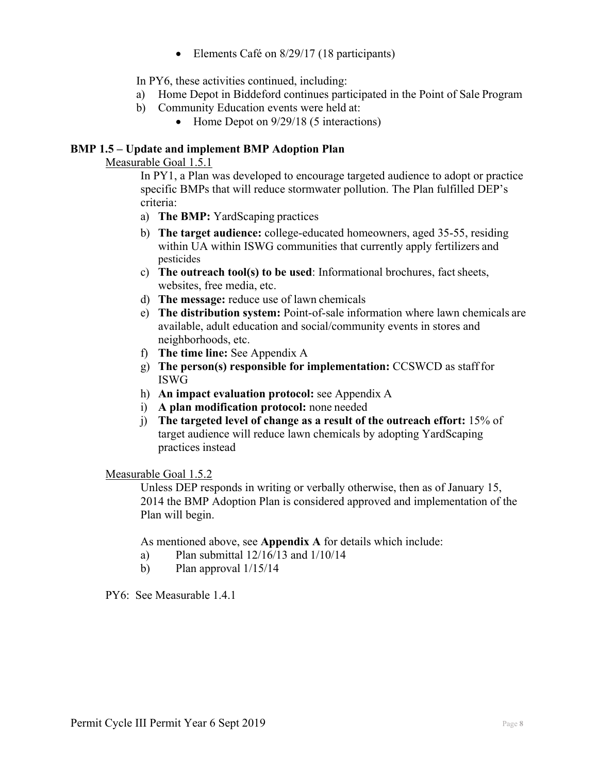• Elements Café on 8/29/17 (18 participants)

In PY6, these activities continued, including:

- a) Home Depot in Biddeford continues participated in the Point of Sale Program
- b) Community Education events were held at:
	- Home Depot on  $9/29/18$  (5 interactions)

## **BMP 1.5 – Update and implement BMP Adoption Plan**

Measurable Goal 1.5.1

In PY1, a Plan was developed to encourage targeted audience to adopt or practice specific BMPs that will reduce stormwater pollution. The Plan fulfilled DEP's criteria:

- a) **The BMP:** YardScaping practices
- b) **The target audience:** college-educated homeowners, aged 35-55, residing within UA within ISWG communities that currently apply fertilizers and pesticides
- c) **The outreach tool(s) to be used**: Informational brochures, fact sheets, websites, free media, etc.
- d) **The message:** reduce use of lawn chemicals
- e) **The distribution system:** Point-of-sale information where lawn chemicals are available, adult education and social/community events in stores and neighborhoods, etc.
- f) **The time line:** See Appendix A
- g) **The person(s) responsible for implementation:** CCSWCD as staff for ISWG
- h) **An impact evaluation protocol:** see Appendix A
- i) **A plan modification protocol:** none needed
- j) **The targeted level of change as a result of the outreach effort:** 15% of target audience will reduce lawn chemicals by adopting YardScaping practices instead

Measurable Goal 1.5.2

Unless DEP responds in writing or verbally otherwise, then as of January 15, 2014 the BMP Adoption Plan is considered approved and implementation of the Plan will begin.

As mentioned above, see **Appendix A** for details which include:

- a) Plan submittal 12/16/13 and 1/10/14
- b) Plan approval  $1/15/14$

PY6: See Measurable 1.4.1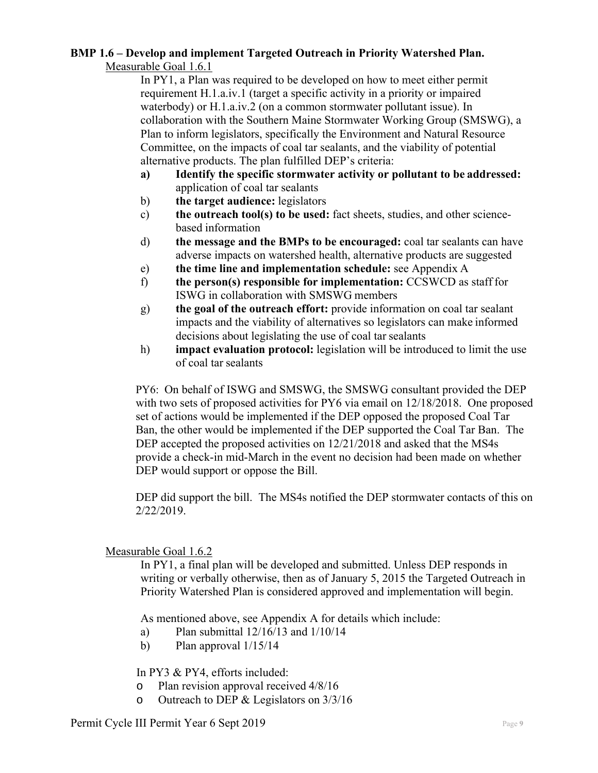#### **BMP 1.6 – Develop and implement Targeted Outreach in Priority Watershed Plan.**  Measurable Goal 1.6.1

In PY1, a Plan was required to be developed on how to meet either permit requirement H.1.a.iv.1 (target a specific activity in a priority or impaired waterbody) or H.1.a.iv.2 (on a common stormwater pollutant issue). In collaboration with the Southern Maine Stormwater Working Group (SMSWG), a Plan to inform legislators, specifically the Environment and Natural Resource Committee, on the impacts of coal tar sealants, and the viability of potential alternative products. The plan fulfilled DEP's criteria:

- **a) Identify the specific stormwater activity or pollutant to be addressed:**  application of coal tar sealants
- b) **the target audience:** legislators
- c) **the outreach tool(s) to be used:** fact sheets, studies, and other sciencebased information
- d) **the message and the BMPs to be encouraged:** coal tar sealants can have adverse impacts on watershed health, alternative products are suggested
- e) **the time line and implementation schedule:** see Appendix A
- f) **the person(s) responsible for implementation:** CCSWCD as staff for ISWG in collaboration with SMSWG members
- g) **the goal of the outreach effort:** provide information on coal tar sealant impacts and the viability of alternatives so legislators can make informed decisions about legislating the use of coal tar sealants
- h) **impact evaluation protocol:** legislation will be introduced to limit the use of coal tar sealants

PY6: On behalf of ISWG and SMSWG, the SMSWG consultant provided the DEP with two sets of proposed activities for PY6 via email on  $12/18/2018$ . One proposed set of actions would be implemented if the DEP opposed the proposed Coal Tar Ban, the other would be implemented if the DEP supported the Coal Tar Ban. The DEP accepted the proposed activities on  $12/21/2018$  and asked that the MS4s provide a check-in mid-March in the event no decision had been made on whether DEP would support or oppose the Bill.

DEP did support the bill. The MS4s notified the DEP stormwater contacts of this on 2/22/2019.

## Measurable Goal 1.6.2

In PY1, a final plan will be developed and submitted. Unless DEP responds in writing or verbally otherwise, then as of January 5, 2015 the Targeted Outreach in Priority Watershed Plan is considered approved and implementation will begin.

As mentioned above, see Appendix A for details which include:

- a) Plan submittal 12/16/13 and 1/10/14
- b) Plan approval  $1/15/14$

In PY3 & PY4, efforts included:

- o Plan revision approval received 4/8/16
- o Outreach to DEP & Legislators on 3/3/16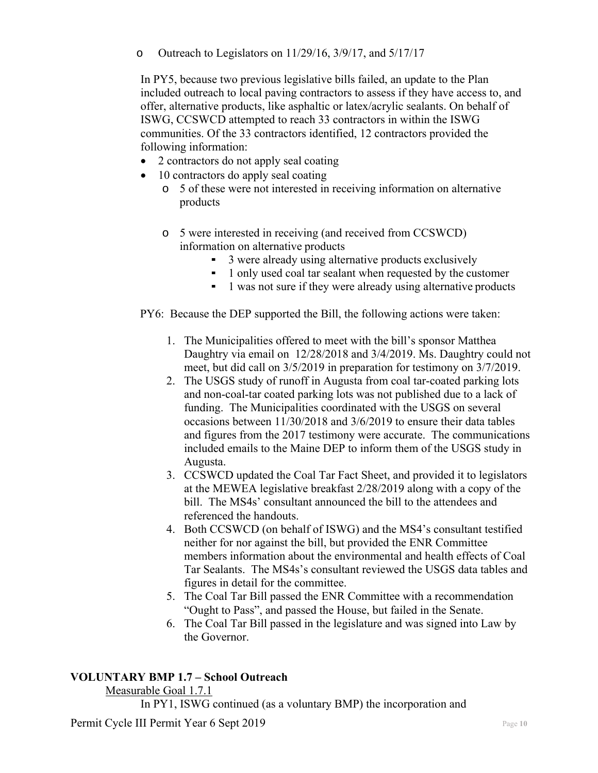o Outreach to Legislators on 11/29/16, 3/9/17, and 5/17/17

In PY5, because two previous legislative bills failed, an update to the Plan included outreach to local paving contractors to assess if they have access to, and offer, alternative products, like asphaltic or latex/acrylic sealants. On behalf of ISWG, CCSWCD attempted to reach 33 contractors in within the ISWG communities. Of the 33 contractors identified, 12 contractors provided the following information:

- 2 contractors do not apply seal coating
- 10 contractors do apply seal coating
	- o 5 of these were not interested in receiving information on alternative products
	- o 5 were interested in receiving (and received from CCSWCD) information on alternative products
		- 3 were already using alternative products exclusively
		- 1 only used coal tar sealant when requested by the customer
		- 1 was not sure if they were already using alternative products
- PY6: Because the DEP supported the Bill, the following actions were taken:
	- 1. The Municipalities offered to meet with the bill's sponsor Matthea Daughtry via email on 12/28/2018 and 3/4/2019. Ms. Daughtry could not meet, but did call on 3/5/2019 in preparation for testimony on 3/7/2019.
	- 2. The USGS study of runoff in Augusta from coal tar-coated parking lots and non-coal-tar coated parking lots was not published due to a lack of funding. The Municipalities coordinated with the USGS on several occasions between 11/30/2018 and 3/6/2019 to ensure their data tables and figures from the 2017 testimony were accurate. The communications included emails to the Maine DEP to inform them of the USGS study in Augusta.
	- 3. CCSWCD updated the Coal Tar Fact Sheet, and provided it to legislators at the MEWEA legislative breakfast 2/28/2019 along with a copy of the bill. The MS4s' consultant announced the bill to the attendees and referenced the handouts.
	- 4. Both CCSWCD (on behalf of ISWG) and the MS4's consultant testified neither for nor against the bill, but provided the ENR Committee members information about the environmental and health effects of Coal Tar Sealants. The MS4s's consultant reviewed the USGS data tables and figures in detail for the committee.
	- 5. The Coal Tar Bill passed the ENR Committee with a recommendation "Ought to Pass", and passed the House, but failed in the Senate.
	- 6. The Coal Tar Bill passed in the legislature and was signed into Law by the Governor.

## **VOLUNTARY BMP 1.7 – School Outreach**

Measurable Goal 1.7.1

In PY1, ISWG continued (as a voluntary BMP) the incorporation and

Permit Cycle III Permit Year 6 Sept 2019 **Page 10** Page 10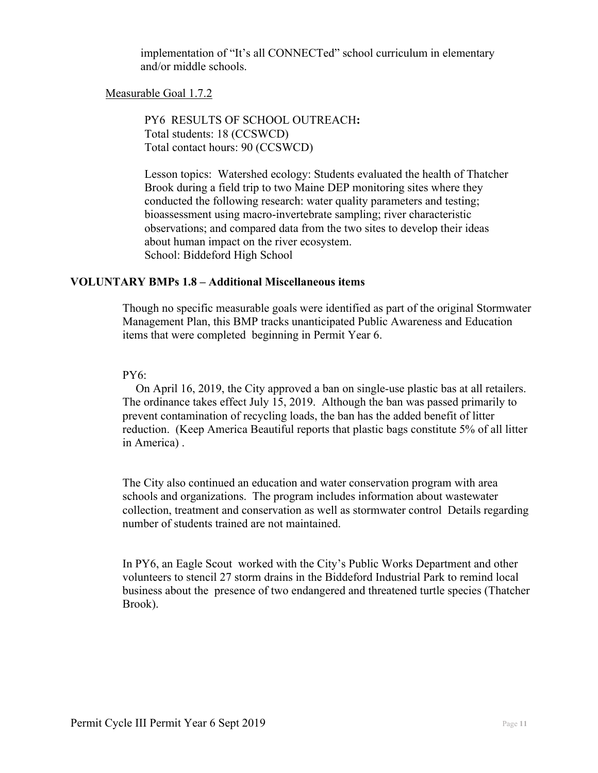implementation of "It's all CONNECTed" school curriculum in elementary and/or middle schools.

## Measurable Goal 1.7.2

PY6 RESULTS OF SCHOOL OUTREACH**:**  Total students: 18 (CCSWCD) Total contact hours: 90 (CCSWCD)

Lesson topics: Watershed ecology: Students evaluated the health of Thatcher Brook during a field trip to two Maine DEP monitoring sites where they conducted the following research: water quality parameters and testing; bioassessment using macro-invertebrate sampling; river characteristic observations; and compared data from the two sites to develop their ideas about human impact on the river ecosystem. School: Biddeford High School

#### **VOLUNTARY BMPs 1.8 – Additional Miscellaneous items**

Though no specific measurable goals were identified as part of the original Stormwater Management Plan, this BMP tracks unanticipated Public Awareness and Education items that were completed beginning in Permit Year 6.

#### PY6:

 On April 16, 2019, the City approved a ban on single-use plastic bas at all retailers. The ordinance takes effect July 15, 2019. Although the ban was passed primarily to prevent contamination of recycling loads, the ban has the added benefit of litter reduction. (Keep America Beautiful reports that plastic bags constitute 5% of all litter in America) .

The City also continued an education and water conservation program with area schools and organizations. The program includes information about wastewater collection, treatment and conservation as well as stormwater control Details regarding number of students trained are not maintained.

In PY6, an Eagle Scout worked with the City's Public Works Department and other volunteers to stencil 27 storm drains in the Biddeford Industrial Park to remind local business about the presence of two endangered and threatened turtle species (Thatcher Brook).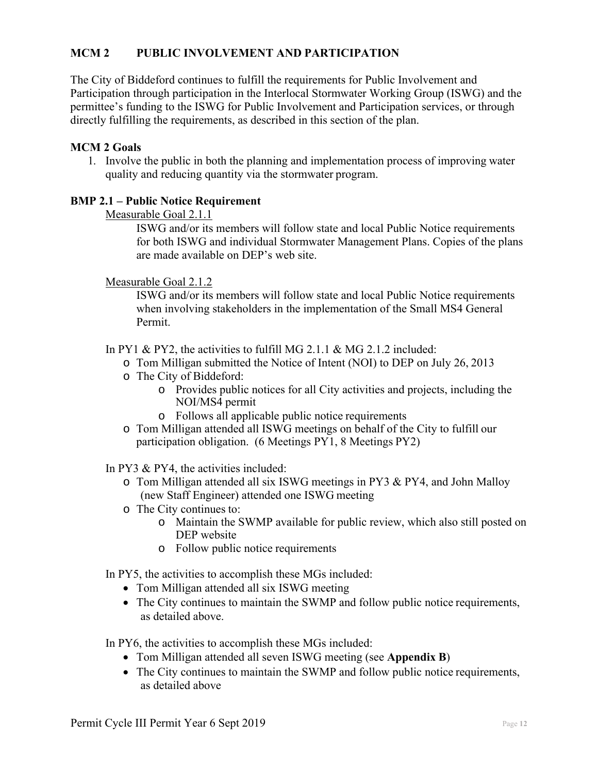## **MCM 2 PUBLIC INVOLVEMENT AND PARTICIPATION**

The City of Biddeford continues to fulfill the requirements for Public Involvement and Participation through participation in the Interlocal Stormwater Working Group (ISWG) and the permittee's funding to the ISWG for Public Involvement and Participation services, or through directly fulfilling the requirements, as described in this section of the plan.

## **MCM 2 Goals**

1. Involve the public in both the planning and implementation process of improving water quality and reducing quantity via the stormwater program.

## **BMP 2.1 – Public Notice Requirement**

Measurable Goal 2.1.1

ISWG and/or its members will follow state and local Public Notice requirements for both ISWG and individual Stormwater Management Plans. Copies of the plans are made available on DEP's web site.

## Measurable Goal 2.1.2

ISWG and/or its members will follow state and local Public Notice requirements when involving stakeholders in the implementation of the Small MS4 General Permit.

In PY1 & PY2, the activities to fulfill MG 2.1.1 & MG 2.1.2 included:

- o Tom Milligan submitted the Notice of Intent (NOI) to DEP on July 26, 2013
- o The City of Biddeford:
	- o Provides public notices for all City activities and projects, including the NOI/MS4 permit
	- o Follows all applicable public notice requirements
- o Tom Milligan attended all ISWG meetings on behalf of the City to fulfill our participation obligation. (6 Meetings PY1, 8 Meetings PY2)

In PY3 & PY4, the activities included:

- o Tom Milligan attended all six ISWG meetings in PY3 & PY4, and John Malloy (new Staff Engineer) attended one ISWG meeting
- o The City continues to:
	- o Maintain the SWMP available for public review, which also still posted on DEP website
	- o Follow public notice requirements

In PY5, the activities to accomplish these MGs included:

- Tom Milligan attended all six ISWG meeting
- The City continues to maintain the SWMP and follow public notice requirements, as detailed above.

In PY6, the activities to accomplish these MGs included:

- Tom Milligan attended all seven ISWG meeting (see **Appendix B**)
- The City continues to maintain the SWMP and follow public notice requirements, as detailed above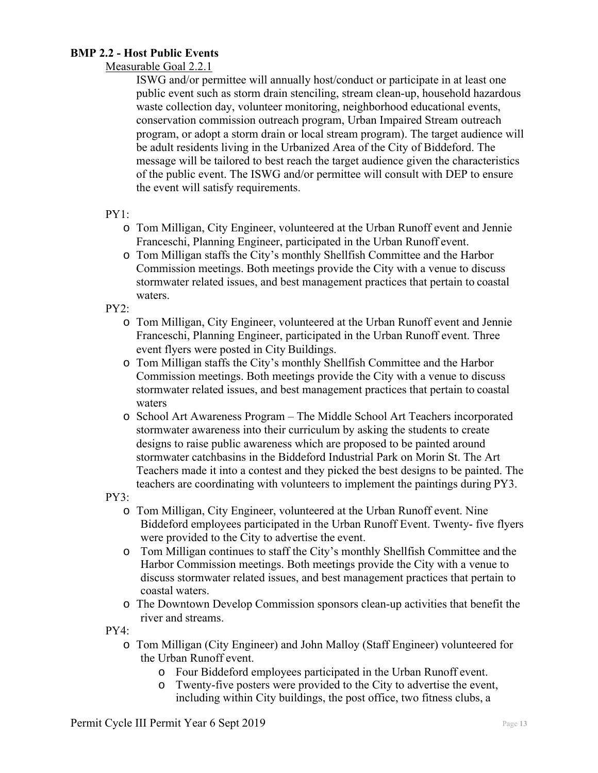## **BMP 2.2 - Host Public Events**

## Measurable Goal 2.2.1

ISWG and/or permittee will annually host/conduct or participate in at least one public event such as storm drain stenciling, stream clean-up, household hazardous waste collection day, volunteer monitoring, neighborhood educational events, conservation commission outreach program, Urban Impaired Stream outreach program, or adopt a storm drain or local stream program). The target audience will be adult residents living in the Urbanized Area of the City of Biddeford. The message will be tailored to best reach the target audience given the characteristics of the public event. The ISWG and/or permittee will consult with DEP to ensure the event will satisfy requirements.

#### PY1:

- o Tom Milligan, City Engineer, volunteered at the Urban Runoff event and Jennie Franceschi, Planning Engineer, participated in the Urban Runoff event.
- o Tom Milligan staffs the City's monthly Shellfish Committee and the Harbor Commission meetings. Both meetings provide the City with a venue to discuss stormwater related issues, and best management practices that pertain to coastal waters.

PY2:

- o Tom Milligan, City Engineer, volunteered at the Urban Runoff event and Jennie Franceschi, Planning Engineer, participated in the Urban Runoff event. Three event flyers were posted in City Buildings.
- o Tom Milligan staffs the City's monthly Shellfish Committee and the Harbor Commission meetings. Both meetings provide the City with a venue to discuss stormwater related issues, and best management practices that pertain to coastal waters
- o School Art Awareness Program The Middle School Art Teachers incorporated stormwater awareness into their curriculum by asking the students to create designs to raise public awareness which are proposed to be painted around stormwater catchbasins in the Biddeford Industrial Park on Morin St. The Art Teachers made it into a contest and they picked the best designs to be painted. The teachers are coordinating with volunteers to implement the paintings during PY3.

PY3:

- o Tom Milligan, City Engineer, volunteered at the Urban Runoff event. Nine Biddeford employees participated in the Urban Runoff Event. Twenty- five flyers were provided to the City to advertise the event.
- o Tom Milligan continues to staff the City's monthly Shellfish Committee and the Harbor Commission meetings. Both meetings provide the City with a venue to discuss stormwater related issues, and best management practices that pertain to coastal waters.
- o The Downtown Develop Commission sponsors clean-up activities that benefit the river and streams.

PY4:

- o Tom Milligan (City Engineer) and John Malloy (Staff Engineer) volunteered for the Urban Runoff event.
	- o Four Biddeford employees participated in the Urban Runoff event.
	- o Twenty-five posters were provided to the City to advertise the event, including within City buildings, the post office, two fitness clubs, a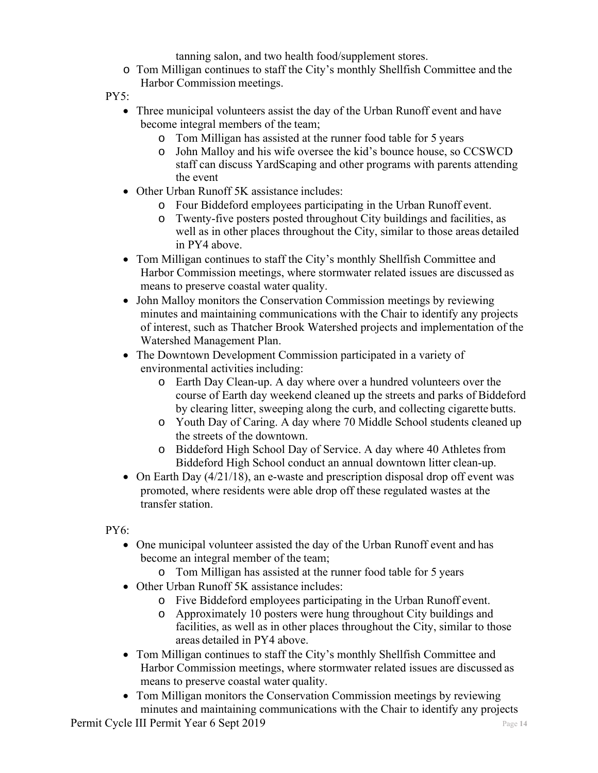tanning salon, and two health food/supplement stores.

- o Tom Milligan continues to staff the City's monthly Shellfish Committee and the Harbor Commission meetings.
- PY5:
	- Three municipal volunteers assist the day of the Urban Runoff event and have become integral members of the team;
		- o Tom Milligan has assisted at the runner food table for 5 years
		- o John Malloy and his wife oversee the kid's bounce house, so CCSWCD staff can discuss YardScaping and other programs with parents attending the event
	- Other Urban Runoff 5K assistance includes:
		- o Four Biddeford employees participating in the Urban Runoff event.
		- o Twenty-five posters posted throughout City buildings and facilities, as well as in other places throughout the City, similar to those areas detailed in PY4 above.
	- Tom Milligan continues to staff the City's monthly Shellfish Committee and Harbor Commission meetings, where stormwater related issues are discussed as means to preserve coastal water quality.
	- John Malloy monitors the Conservation Commission meetings by reviewing minutes and maintaining communications with the Chair to identify any projects of interest, such as Thatcher Brook Watershed projects and implementation of the Watershed Management Plan.
	- The Downtown Development Commission participated in a variety of environmental activities including:
		- o Earth Day Clean-up. A day where over a hundred volunteers over the course of Earth day weekend cleaned up the streets and parks of Biddeford by clearing litter, sweeping along the curb, and collecting cigarette butts.
		- o Youth Day of Caring. A day where 70 Middle School students cleaned up the streets of the downtown.
		- o Biddeford High School Day of Service. A day where 40 Athletes from Biddeford High School conduct an annual downtown litter clean-up.
	- On Earth Day (4/21/18), an e-waste and prescription disposal drop off event was promoted, where residents were able drop off these regulated wastes at the transfer station.

PY6:

- One municipal volunteer assisted the day of the Urban Runoff event and has become an integral member of the team;
	- o Tom Milligan has assisted at the runner food table for 5 years
- Other Urban Runoff 5K assistance includes:
	- o Five Biddeford employees participating in the Urban Runoff event.
	- o Approximately 10 posters were hung throughout City buildings and facilities, as well as in other places throughout the City, similar to those areas detailed in PY4 above.
- Tom Milligan continues to staff the City's monthly Shellfish Committee and Harbor Commission meetings, where stormwater related issues are discussed as means to preserve coastal water quality.
- Tom Milligan monitors the Conservation Commission meetings by reviewing minutes and maintaining communications with the Chair to identify any projects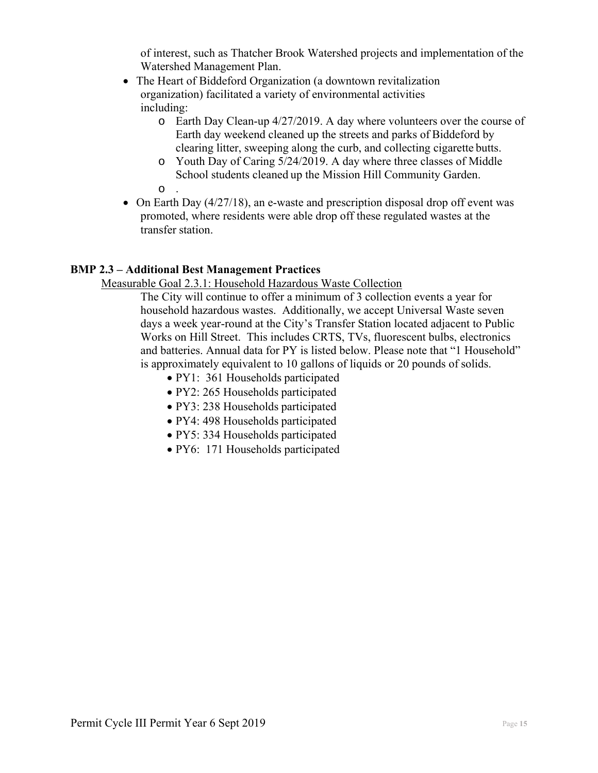of interest, such as Thatcher Brook Watershed projects and implementation of the Watershed Management Plan.

- The Heart of Biddeford Organization (a downtown revitalization organization) facilitated a variety of environmental activities including:
	- o Earth Day Clean-up 4/27/2019. A day where volunteers over the course of Earth day weekend cleaned up the streets and parks of Biddeford by clearing litter, sweeping along the curb, and collecting cigarette butts.
	- o Youth Day of Caring 5/24/2019. A day where three classes of Middle School students cleaned up the Mission Hill Community Garden.
	- o .
- $\bullet$  On Earth Day (4/27/18), an e-waste and prescription disposal drop off event was promoted, where residents were able drop off these regulated wastes at the transfer station.

## **BMP 2.3 – Additional Best Management Practices**

Measurable Goal 2.3.1: Household Hazardous Waste Collection

The City will continue to offer a minimum of 3 collection events a year for household hazardous wastes. Additionally, we accept Universal Waste seven days a week year-round at the City's Transfer Station located adjacent to Public Works on Hill Street. This includes CRTS, TVs, fluorescent bulbs, electronics and batteries. Annual data for PY is listed below. Please note that "1 Household" is approximately equivalent to 10 gallons of liquids or 20 pounds of solids.

- PY1: 361 Households participated
- PY2: 265 Households participated
- PY3: 238 Households participated
- PY4: 498 Households participated
- PY5: 334 Households participated
- PY6: 171 Households participated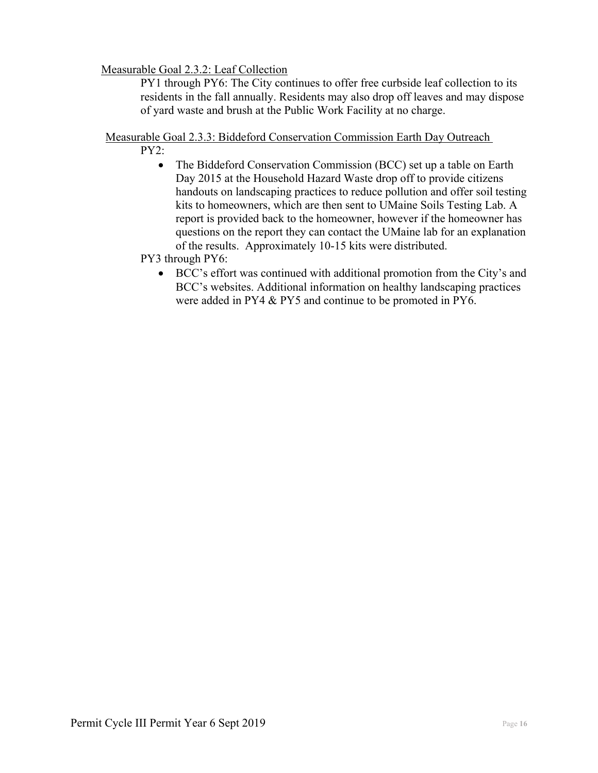## Measurable Goal 2.3.2: Leaf Collection

PY1 through PY6: The City continues to offer free curbside leaf collection to its residents in the fall annually. Residents may also drop off leaves and may dispose of yard waste and brush at the Public Work Facility at no charge.

## Measurable Goal 2.3.3: Biddeford Conservation Commission Earth Day Outreach

PY2:

• The Biddeford Conservation Commission (BCC) set up a table on Earth Day 2015 at the Household Hazard Waste drop off to provide citizens handouts on landscaping practices to reduce pollution and offer soil testing kits to homeowners, which are then sent to UMaine Soils Testing Lab. A report is provided back to the homeowner, however if the homeowner has questions on the report they can contact the UMaine lab for an explanation of the results. Approximately 10-15 kits were distributed.

PY3 through PY6:

 BCC's effort was continued with additional promotion from the City's and BCC's websites. Additional information on healthy landscaping practices were added in PY4 & PY5 and continue to be promoted in PY6.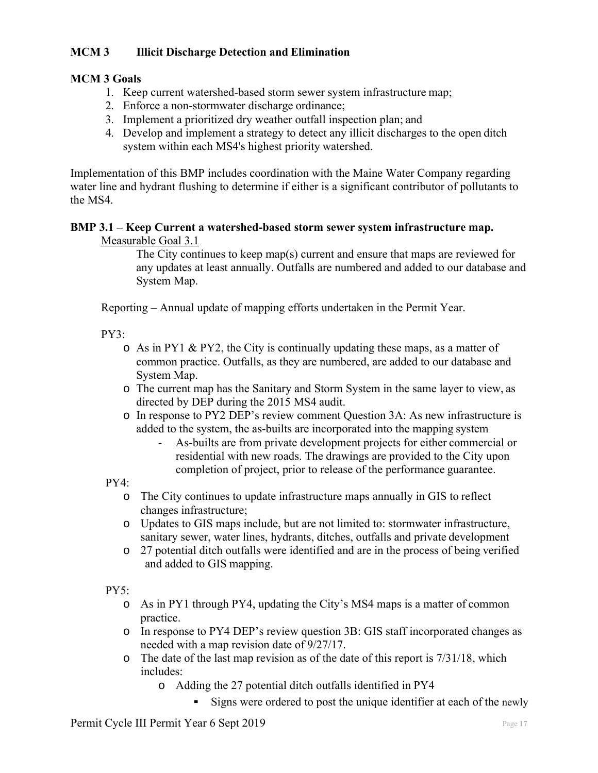## **MCM 3 Illicit Discharge Detection and Elimination**

## **MCM 3 Goals**

- 1. Keep current watershed-based storm sewer system infrastructure map;
- 2. Enforce a non-stormwater discharge ordinance;
- 3. Implement a prioritized dry weather outfall inspection plan; and
- 4. Develop and implement a strategy to detect any illicit discharges to the open ditch system within each MS4's highest priority watershed.

Implementation of this BMP includes coordination with the Maine Water Company regarding water line and hydrant flushing to determine if either is a significant contributor of pollutants to the MS4.

## **BMP 3.1 – Keep Current a watershed-based storm sewer system infrastructure map.**

#### Measurable Goal 3.1

The City continues to keep map(s) current and ensure that maps are reviewed for any updates at least annually. Outfalls are numbered and added to our database and System Map.

Reporting – Annual update of mapping efforts undertaken in the Permit Year.

PY3:

- o As in PY1 & PY2, the City is continually updating these maps, as a matter of common practice. Outfalls, as they are numbered, are added to our database and System Map.
- o The current map has the Sanitary and Storm System in the same layer to view, as directed by DEP during the 2015 MS4 audit.
- o In response to PY2 DEP's review comment Question 3A: As new infrastructure is added to the system, the as-builts are incorporated into the mapping system
	- As-builts are from private development projects for either commercial or residential with new roads. The drawings are provided to the City upon completion of project, prior to release of the performance guarantee.

PY4:

- o The City continues to update infrastructure maps annually in GIS to reflect changes infrastructure;
- o Updates to GIS maps include, but are not limited to: stormwater infrastructure, sanitary sewer, water lines, hydrants, ditches, outfalls and private development
- o 27 potential ditch outfalls were identified and are in the process of being verified and added to GIS mapping.

 $PY5:$ 

- o As in PY1 through PY4, updating the City's MS4 maps is a matter of common practice.
- o In response to PY4 DEP's review question 3B: GIS staff incorporated changes as needed with a map revision date of 9/27/17.
- o The date of the last map revision as of the date of this report is 7/31/18, which includes:
	- o Adding the 27 potential ditch outfalls identified in PY4
		- Signs were ordered to post the unique identifier at each of the newly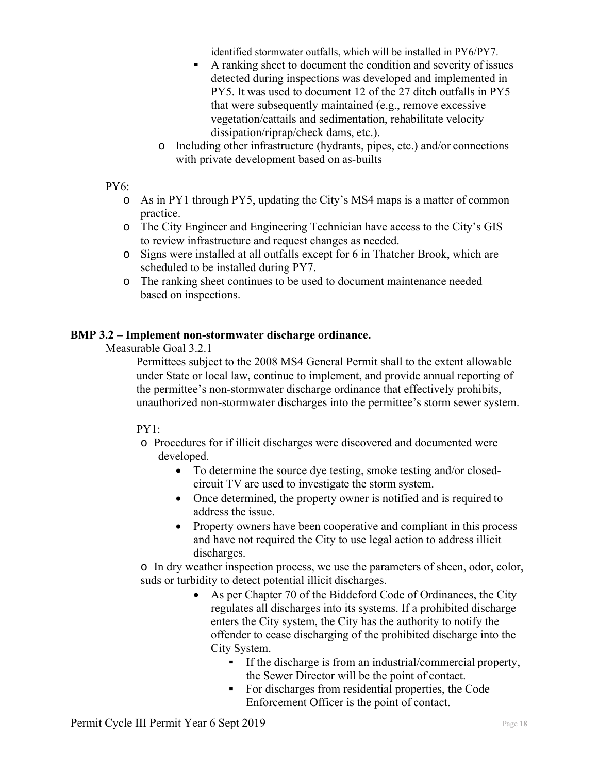identified stormwater outfalls, which will be installed in PY6/PY7.

- A ranking sheet to document the condition and severity of issues detected during inspections was developed and implemented in PY5. It was used to document 12 of the 27 ditch outfalls in PY5 that were subsequently maintained (e.g., remove excessive vegetation/cattails and sedimentation, rehabilitate velocity dissipation/riprap/check dams, etc.).
- o Including other infrastructure (hydrants, pipes, etc.) and/or connections with private development based on as-builts

#### PY6:

- o As in PY1 through PY5, updating the City's MS4 maps is a matter of common practice.
- o The City Engineer and Engineering Technician have access to the City's GIS to review infrastructure and request changes as needed.
- o Signs were installed at all outfalls except for 6 in Thatcher Brook, which are scheduled to be installed during PY7.
- o The ranking sheet continues to be used to document maintenance needed based on inspections.

## **BMP 3.2 – Implement non-stormwater discharge ordinance.**

#### Measurable Goal 3.2.1

Permittees subject to the 2008 MS4 General Permit shall to the extent allowable under State or local law, continue to implement, and provide annual reporting of the permittee's non-stormwater discharge ordinance that effectively prohibits, unauthorized non-stormwater discharges into the permittee's storm sewer system.

## PY1:

- o Procedures for if illicit discharges were discovered and documented were developed.
	- To determine the source dye testing, smoke testing and/or closedcircuit TV are used to investigate the storm system.
	- Once determined, the property owner is notified and is required to address the issue.
	- Property owners have been cooperative and compliant in this process and have not required the City to use legal action to address illicit discharges.

o In dry weather inspection process, we use the parameters of sheen, odor, color, suds or turbidity to detect potential illicit discharges.

- As per Chapter 70 of the Biddeford Code of Ordinances, the City regulates all discharges into its systems. If a prohibited discharge enters the City system, the City has the authority to notify the offender to cease discharging of the prohibited discharge into the City System.
	- If the discharge is from an industrial/commercial property, the Sewer Director will be the point of contact.
	- For discharges from residential properties, the Code Enforcement Officer is the point of contact.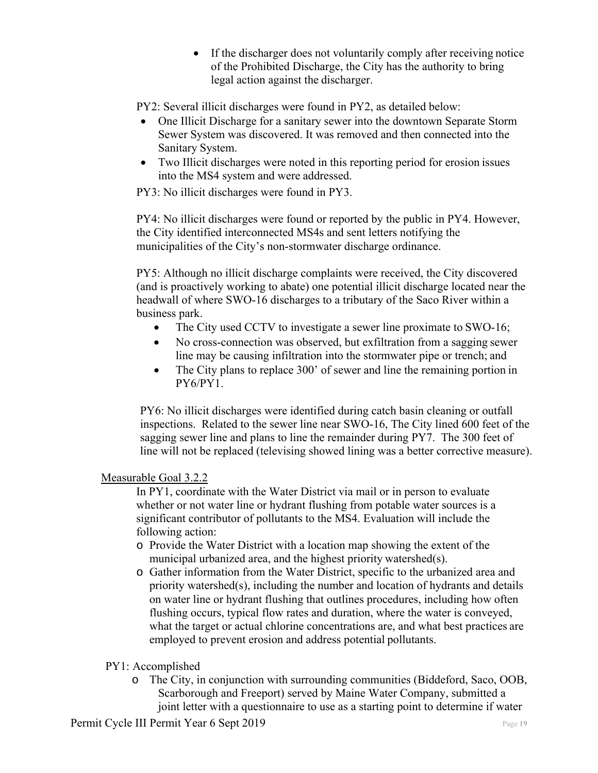If the discharger does not voluntarily comply after receiving notice of the Prohibited Discharge, the City has the authority to bring legal action against the discharger.

PY2: Several illicit discharges were found in PY2, as detailed below:

- One Illicit Discharge for a sanitary sewer into the downtown Separate Storm Sewer System was discovered. It was removed and then connected into the Sanitary System.
- Two Illicit discharges were noted in this reporting period for erosion issues into the MS4 system and were addressed.

PY3: No illicit discharges were found in PY3.

PY4: No illicit discharges were found or reported by the public in PY4. However, the City identified interconnected MS4s and sent letters notifying the municipalities of the City's non-stormwater discharge ordinance.

PY5: Although no illicit discharge complaints were received, the City discovered (and is proactively working to abate) one potential illicit discharge located near the headwall of where SWO-16 discharges to a tributary of the Saco River within a business park.

- The City used CCTV to investigate a sewer line proximate to SWO-16;
- No cross-connection was observed, but exfiltration from a sagging sewer line may be causing infiltration into the stormwater pipe or trench; and
- The City plans to replace 300' of sewer and line the remaining portion in PY6/PY1.

PY6: No illicit discharges were identified during catch basin cleaning or outfall inspections. Related to the sewer line near SWO-16, The City lined 600 feet of the sagging sewer line and plans to line the remainder during PY7. The 300 feet of line will not be replaced (televising showed lining was a better corrective measure).

## Measurable Goal 3.2.2

In PY1, coordinate with the Water District via mail or in person to evaluate whether or not water line or hydrant flushing from potable water sources is a significant contributor of pollutants to the MS4. Evaluation will include the following action:

- o Provide the Water District with a location map showing the extent of the municipal urbanized area, and the highest priority watershed(s).
- o Gather information from the Water District, specific to the urbanized area and priority watershed(s), including the number and location of hydrants and details on water line or hydrant flushing that outlines procedures, including how often flushing occurs, typical flow rates and duration, where the water is conveyed, what the target or actual chlorine concentrations are, and what best practices are employed to prevent erosion and address potential pollutants.

## PY1: Accomplished

o The City, in conjunction with surrounding communities (Biddeford, Saco, OOB, Scarborough and Freeport) served by Maine Water Company, submitted a joint letter with a questionnaire to use as a starting point to determine if water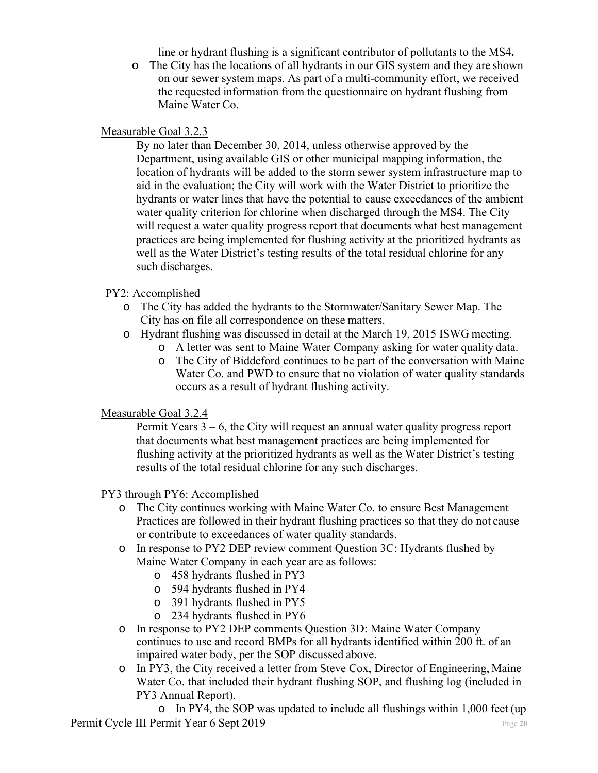line or hydrant flushing is a significant contributor of pollutants to the MS4**.** 

o The City has the locations of all hydrants in our GIS system and they are shown on our sewer system maps. As part of a multi-community effort, we received the requested information from the questionnaire on hydrant flushing from Maine Water Co.

## Measurable Goal 3.2.3

By no later than December 30, 2014, unless otherwise approved by the Department, using available GIS or other municipal mapping information, the location of hydrants will be added to the storm sewer system infrastructure map to aid in the evaluation; the City will work with the Water District to prioritize the hydrants or water lines that have the potential to cause exceedances of the ambient water quality criterion for chlorine when discharged through the MS4. The City will request a water quality progress report that documents what best management practices are being implemented for flushing activity at the prioritized hydrants as well as the Water District's testing results of the total residual chlorine for any such discharges.

#### PY2: Accomplished

- o The City has added the hydrants to the Stormwater/Sanitary Sewer Map. The City has on file all correspondence on these matters.
- o Hydrant flushing was discussed in detail at the March 19, 2015 ISWG meeting.
	- o A letter was sent to Maine Water Company asking for water quality data.
	- o The City of Biddeford continues to be part of the conversation with Maine Water Co. and PWD to ensure that no violation of water quality standards occurs as a result of hydrant flushing activity.

## Measurable Goal 3.2.4

Permit Years 3 – 6, the City will request an annual water quality progress report that documents what best management practices are being implemented for flushing activity at the prioritized hydrants as well as the Water District's testing results of the total residual chlorine for any such discharges.

#### PY3 through PY6: Accomplished

- o The City continues working with Maine Water Co. to ensure Best Management Practices are followed in their hydrant flushing practices so that they do not cause or contribute to exceedances of water quality standards.
- o In response to PY2 DEP review comment Question 3C: Hydrants flushed by Maine Water Company in each year are as follows:
	- o 458 hydrants flushed in PY3
	- o 594 hydrants flushed in PY4
	- o 391 hydrants flushed in PY5
	- o 234 hydrants flushed in PY6
- o In response to PY2 DEP comments Question 3D: Maine Water Company continues to use and record BMPs for all hydrants identified within 200 ft. of an impaired water body, per the SOP discussed above.
- o In PY3, the City received a letter from Steve Cox, Director of Engineering, Maine Water Co. that included their hydrant flushing SOP, and flushing log (included in PY3 Annual Report).

Permit Cycle III Permit Year 6 Sept 2019 **Page 20** Page 20 o In PY4, the SOP was updated to include all flushings within 1,000 feet (up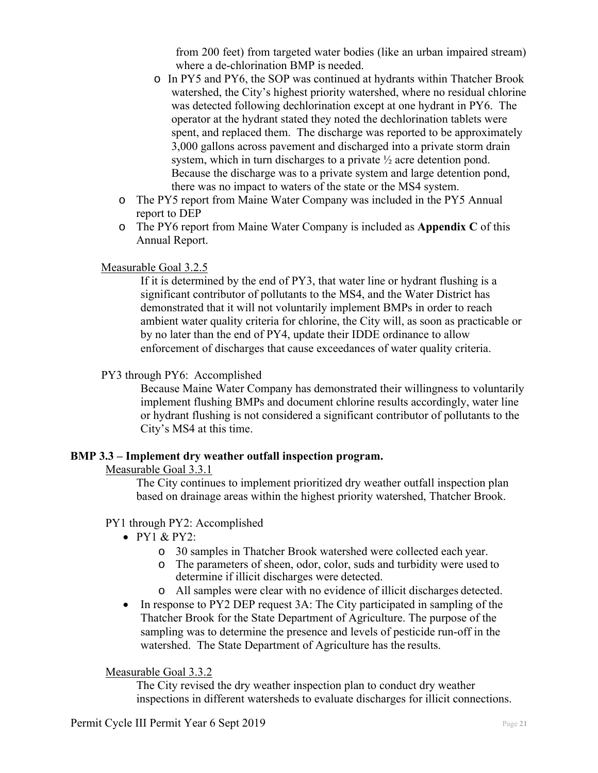from 200 feet) from targeted water bodies (like an urban impaired stream) where a de-chlorination BMP is needed.

- o In PY5 and PY6, the SOP was continued at hydrants within Thatcher Brook watershed, the City's highest priority watershed, where no residual chlorine was detected following dechlorination except at one hydrant in PY6. The operator at the hydrant stated they noted the dechlorination tablets were spent, and replaced them. The discharge was reported to be approximately 3,000 gallons across pavement and discharged into a private storm drain system, which in turn discharges to a private ½ acre detention pond. Because the discharge was to a private system and large detention pond, there was no impact to waters of the state or the MS4 system.
- o The PY5 report from Maine Water Company was included in the PY5 Annual report to DEP
- o The PY6 report from Maine Water Company is included as **Appendix C** of this Annual Report.

## Measurable Goal 3.2.5

If it is determined by the end of PY3, that water line or hydrant flushing is a significant contributor of pollutants to the MS4, and the Water District has demonstrated that it will not voluntarily implement BMPs in order to reach ambient water quality criteria for chlorine, the City will, as soon as practicable or by no later than the end of PY4, update their IDDE ordinance to allow enforcement of discharges that cause exceedances of water quality criteria.

## PY3 through PY6: Accomplished

Because Maine Water Company has demonstrated their willingness to voluntarily implement flushing BMPs and document chlorine results accordingly, water line or hydrant flushing is not considered a significant contributor of pollutants to the City's MS4 at this time.

## **BMP 3.3 – Implement dry weather outfall inspection program.**

#### Measurable Goal 3.3.1

The City continues to implement prioritized dry weather outfall inspection plan based on drainage areas within the highest priority watershed, Thatcher Brook.

#### PY1 through PY2: Accomplished

- $\bullet$  PY1 & PY2:
	- o 30 samples in Thatcher Brook watershed were collected each year.
	- o The parameters of sheen, odor, color, suds and turbidity were used to determine if illicit discharges were detected.
	- o All samples were clear with no evidence of illicit discharges detected.
- In response to PY2 DEP request 3A: The City participated in sampling of the Thatcher Brook for the State Department of Agriculture. The purpose of the sampling was to determine the presence and levels of pesticide run-off in the watershed. The State Department of Agriculture has the results.

## Measurable Goal 3.3.2

The City revised the dry weather inspection plan to conduct dry weather inspections in different watersheds to evaluate discharges for illicit connections.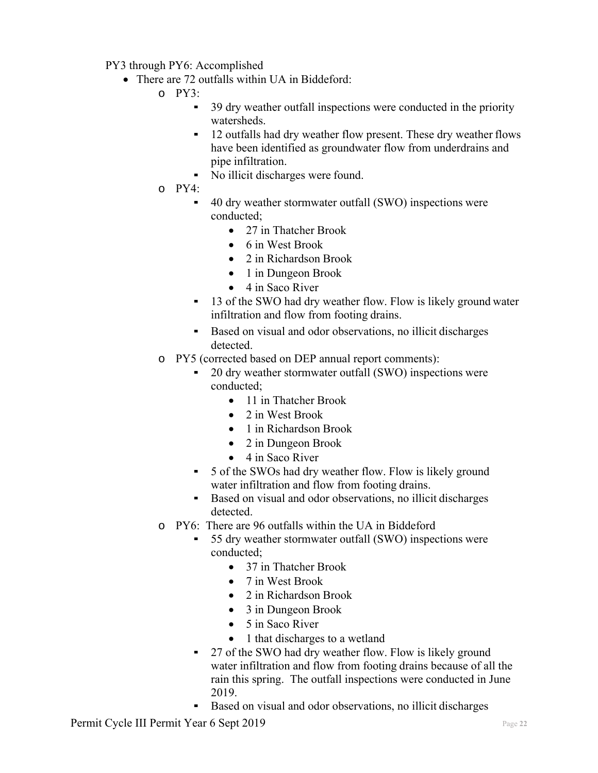PY3 through PY6: Accomplished

- There are 72 outfalls within UA in Biddeford:
	- $O$  PY3:
		- 39 dry weather outfall inspections were conducted in the priority watersheds.
		- 12 outfalls had dry weather flow present. These dry weather flows have been identified as groundwater flow from underdrains and pipe infiltration.
		- No illicit discharges were found.
	- o PY4:
		- 40 dry weather stormwater outfall (SWO) inspections were conducted;
			- 27 in Thatcher Brook
			- 6 in West Brook
			- 2 in Richardson Brook
			- 1 in Dungeon Brook
			- $\bullet$  4 in Saco River
		- 13 of the SWO had dry weather flow. Flow is likely ground water infiltration and flow from footing drains.
		- Based on visual and odor observations, no illicit discharges detected.
	- o PY5 (corrected based on DEP annual report comments):
		- 20 dry weather stormwater outfall (SWO) inspections were conducted;
			- 11 in Thatcher Brook
			- 2 in West Brook
			- 1 in Richardson Brook
			- 2 in Dungeon Brook
			- $\bullet$  4 in Saco River
		- 5 of the SWOs had dry weather flow. Flow is likely ground water infiltration and flow from footing drains.
		- Based on visual and odor observations, no illicit discharges detected.
	- o PY6: There are 96 outfalls within the UA in Biddeford
		- 55 dry weather stormwater outfall (SWO) inspections were conducted;
			- 37 in Thatcher Brook
			- 7 in West Brook
			- 2 in Richardson Brook
			- 3 in Dungeon Brook
			- $\bullet$  5 in Saco River
			- 1 that discharges to a wetland
		- 27 of the SWO had dry weather flow. Flow is likely ground water infiltration and flow from footing drains because of all the rain this spring. The outfall inspections were conducted in June 2019.
			- Based on visual and odor observations, no illicit discharges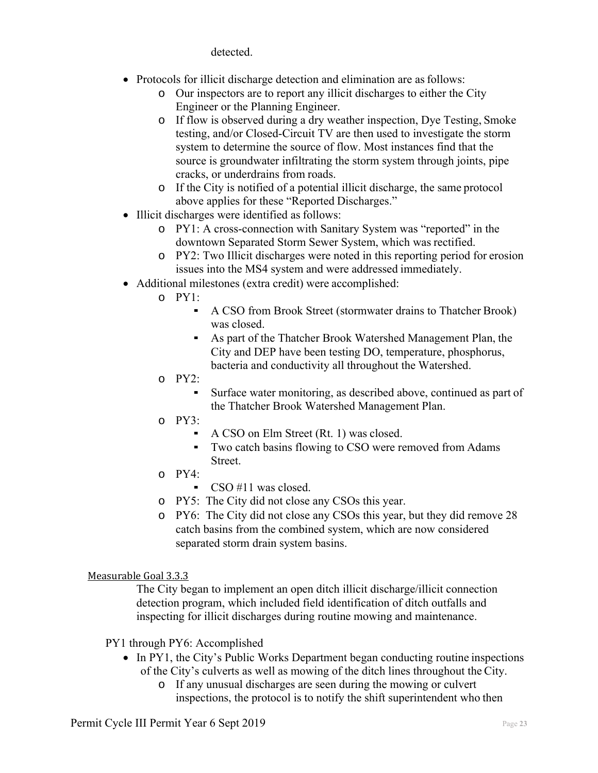detected.

- Protocols for illicit discharge detection and elimination are as follows:
	- o Our inspectors are to report any illicit discharges to either the City Engineer or the Planning Engineer.
	- o If flow is observed during a dry weather inspection, Dye Testing, Smoke testing, and/or Closed-Circuit TV are then used to investigate the storm system to determine the source of flow. Most instances find that the source is groundwater infiltrating the storm system through joints, pipe cracks, or underdrains from roads.
	- o If the City is notified of a potential illicit discharge, the same protocol above applies for these "Reported Discharges."
- Illicit discharges were identified as follows:
	- o PY1: A cross-connection with Sanitary System was "reported" in the downtown Separated Storm Sewer System, which was rectified.
	- o PY2: Two Illicit discharges were noted in this reporting period for erosion issues into the MS4 system and were addressed immediately.
- Additional milestones (extra credit) were accomplished:
	- $O$  PY1:
		- A CSO from Brook Street (stormwater drains to Thatcher Brook) was closed.
		- As part of the Thatcher Brook Watershed Management Plan, the City and DEP have been testing DO, temperature, phosphorus, bacteria and conductivity all throughout the Watershed.
	- $O$  PY2:
		- Surface water monitoring, as described above, continued as part of the Thatcher Brook Watershed Management Plan.
	- o PY3:
		- A CSO on Elm Street (Rt. 1) was closed.
		- Two catch basins flowing to CSO were removed from Adams Street.
	- $O$  PY4:
		- $\sim$  CSO #11 was closed.
	- o PY5: The City did not close any CSOs this year.
	- o PY6: The City did not close any CSOs this year, but they did remove 28 catch basins from the combined system, which are now considered separated storm drain system basins.

Measurable Goal 3.3.3

The City began to implement an open ditch illicit discharge/illicit connection detection program, which included field identification of ditch outfalls and inspecting for illicit discharges during routine mowing and maintenance.

PY1 through PY6: Accomplished

- In PY1, the City's Public Works Department began conducting routine inspections of the City's culverts as well as mowing of the ditch lines throughout the City.
	- o If any unusual discharges are seen during the mowing or culvert inspections, the protocol is to notify the shift superintendent who then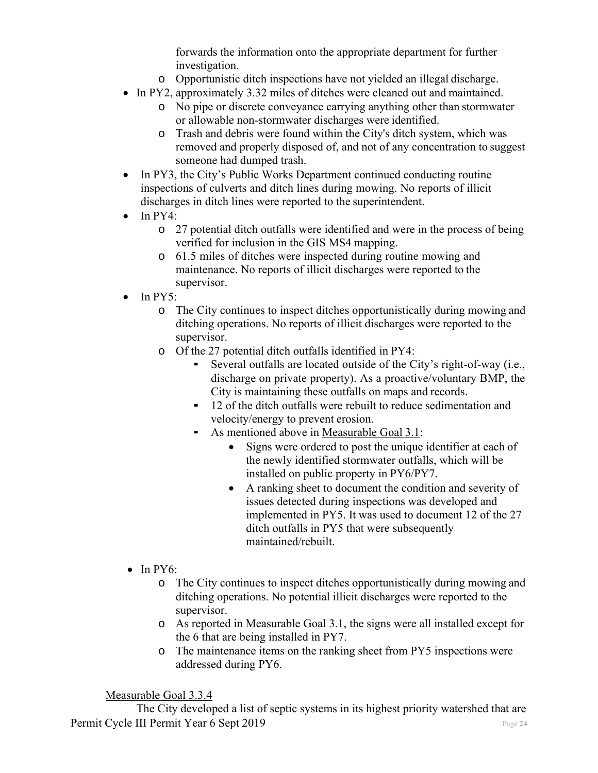forwards the information onto the appropriate department for further investigation.

- o Opportunistic ditch inspections have not yielded an illegal discharge.
- In PY2, approximately 3.32 miles of ditches were cleaned out and maintained.
	- o No pipe or discrete conveyance carrying anything other than stormwater or allowable non-stormwater discharges were identified.
	- o Trash and debris were found within the City's ditch system, which was removed and properly disposed of, and not of any concentration to suggest someone had dumped trash.
- In PY3, the City's Public Works Department continued conducting routine inspections of culverts and ditch lines during mowing. No reports of illicit discharges in ditch lines were reported to the superintendent.
- $\bullet$  In PY4:
	- o 27 potential ditch outfalls were identified and were in the process of being verified for inclusion in the GIS MS4 mapping.
	- o 61.5 miles of ditches were inspected during routine mowing and maintenance. No reports of illicit discharges were reported to the supervisor.
- $\bullet$  In PY5:
	- o The City continues to inspect ditches opportunistically during mowing and ditching operations. No reports of illicit discharges were reported to the supervisor.
	- o Of the 27 potential ditch outfalls identified in PY4:
		- Several outfalls are located outside of the City's right-of-way (i.e., discharge on private property). As a proactive/voluntary BMP, the City is maintaining these outfalls on maps and records.
		- 12 of the ditch outfalls were rebuilt to reduce sedimentation and velocity/energy to prevent erosion.
		- As mentioned above in <u>Measurable Goal 3.1</u>:
			- Signs were ordered to post the unique identifier at each of the newly identified stormwater outfalls, which will be installed on public property in PY6/PY7.
			- A ranking sheet to document the condition and severity of issues detected during inspections was developed and implemented in PY5. It was used to document 12 of the 27 ditch outfalls in PY5 that were subsequently maintained/rebuilt.
- $\bullet$  In PY6:
	- o The City continues to inspect ditches opportunistically during mowing and ditching operations. No potential illicit discharges were reported to the supervisor.
	- o As reported in Measurable Goal 3.1, the signs were all installed except for the 6 that are being installed in PY7.
	- o The maintenance items on the ranking sheet from PY5 inspections were addressed during PY6.

Measurable Goal 3.3.4

Permit Cycle III Permit Year 6 Sept 2019 Page 24 The City developed a list of septic systems in its highest priority watershed that are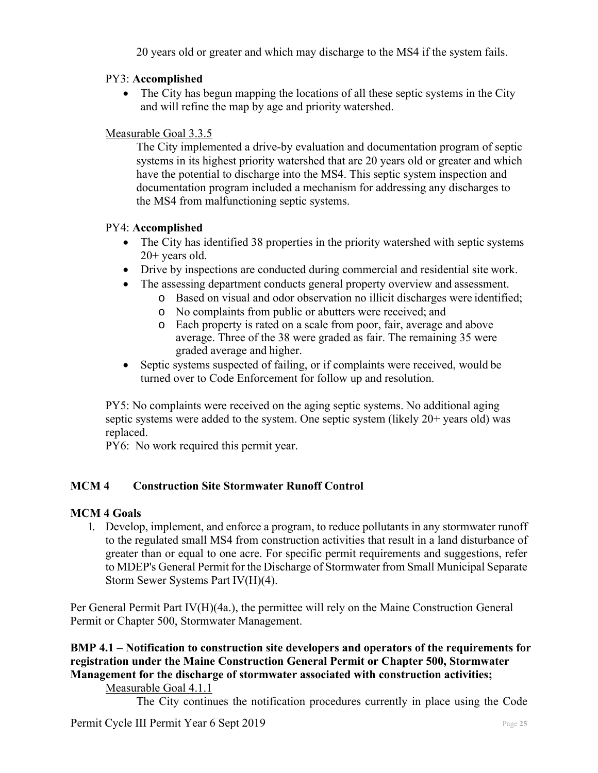20 years old or greater and which may discharge to the MS4 if the system fails.

## PY3: **Accomplished**

• The City has begun mapping the locations of all these septic systems in the City and will refine the map by age and priority watershed.

## Measurable Goal 3.3.5

The City implemented a drive-by evaluation and documentation program of septic systems in its highest priority watershed that are 20 years old or greater and which have the potential to discharge into the MS4. This septic system inspection and documentation program included a mechanism for addressing any discharges to the MS4 from malfunctioning septic systems.

## PY4: **Accomplished**

- The City has identified 38 properties in the priority watershed with septic systems 20+ years old.
- Drive by inspections are conducted during commercial and residential site work.
- The assessing department conducts general property overview and assessment.
	- o Based on visual and odor observation no illicit discharges were identified;
	- o No complaints from public or abutters were received; and
	- o Each property is rated on a scale from poor, fair, average and above average. Three of the 38 were graded as fair. The remaining 35 were graded average and higher.
- Septic systems suspected of failing, or if complaints were received, would be turned over to Code Enforcement for follow up and resolution.

PY5: No complaints were received on the aging septic systems. No additional aging septic systems were added to the system. One septic system (likely 20+ years old) was replaced.

PY6: No work required this permit year.

## **MCM 4 Construction Site Stormwater Runoff Control**

## **MCM 4 Goals**

1. Develop, implement, and enforce a program, to reduce pollutants in any stormwater runoff to the regulated small MS4 from construction activities that result in a land disturbance of greater than or equal to one acre. For specific permit requirements and suggestions, refer to MDEP's General Permit for the Discharge of Stormwater from Small Municipal Separate Storm Sewer Systems Part IV(H)(4).

Per General Permit Part IV(H)(4a.), the permittee will rely on the Maine Construction General Permit or Chapter 500, Stormwater Management.

#### **BMP 4.1 – Notification to construction site developers and operators of the requirements for registration under the Maine Construction General Permit or Chapter 500, Stormwater Management for the discharge of stormwater associated with construction activities;**  Measurable Goal 4.1.1

The City continues the notification procedures currently in place using the Code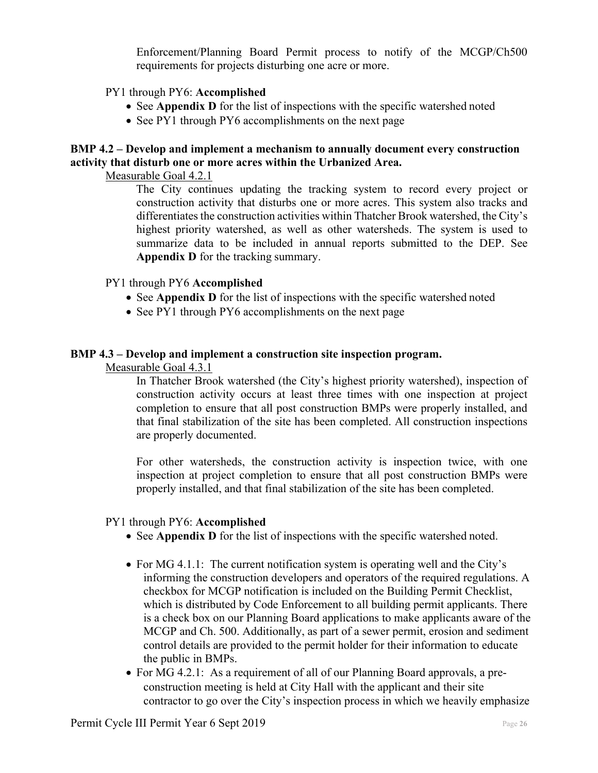Enforcement/Planning Board Permit process to notify of the MCGP/Ch500 requirements for projects disturbing one acre or more.

#### PY1 through PY6: **Accomplished**

- See **Appendix D** for the list of inspections with the specific watershed noted
- See PY1 through PY6 accomplishments on the next page

## **BMP 4.2 – Develop and implement a mechanism to annually document every construction activity that disturb one or more acres within the Urbanized Area.**

Measurable Goal 4.2.1

The City continues updating the tracking system to record every project or construction activity that disturbs one or more acres. This system also tracks and differentiates the construction activities within Thatcher Brook watershed, the City's highest priority watershed, as well as other watersheds. The system is used to summarize data to be included in annual reports submitted to the DEP. See **Appendix D** for the tracking summary.

## PY1 through PY6 **Accomplished**

- See **Appendix D** for the list of inspections with the specific watershed noted
- See PY1 through PY6 accomplishments on the next page

## **BMP 4.3 – Develop and implement a construction site inspection program.**

Measurable Goal 4.3.1

In Thatcher Brook watershed (the City's highest priority watershed), inspection of construction activity occurs at least three times with one inspection at project completion to ensure that all post construction BMPs were properly installed, and that final stabilization of the site has been completed. All construction inspections are properly documented.

For other watersheds, the construction activity is inspection twice, with one inspection at project completion to ensure that all post construction BMPs were properly installed, and that final stabilization of the site has been completed.

#### PY1 through PY6: **Accomplished**

- See **Appendix D** for the list of inspections with the specific watershed noted.
- For MG 4.1.1: The current notification system is operating well and the City's informing the construction developers and operators of the required regulations. A checkbox for MCGP notification is included on the Building Permit Checklist, which is distributed by Code Enforcement to all building permit applicants. There is a check box on our Planning Board applications to make applicants aware of the MCGP and Ch. 500. Additionally, as part of a sewer permit, erosion and sediment control details are provided to the permit holder for their information to educate the public in BMPs.
- For MG 4.2.1: As a requirement of all of our Planning Board approvals, a preconstruction meeting is held at City Hall with the applicant and their site contractor to go over the City's inspection process in which we heavily emphasize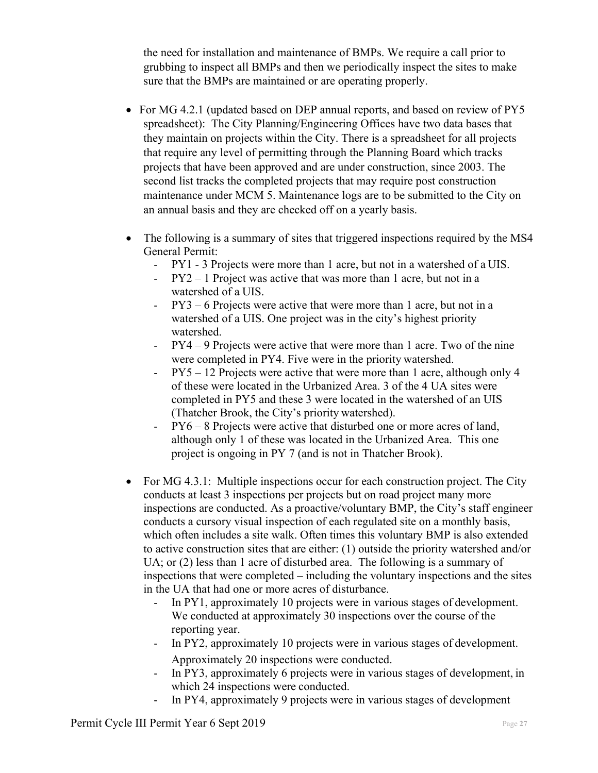the need for installation and maintenance of BMPs. We require a call prior to grubbing to inspect all BMPs and then we periodically inspect the sites to make sure that the BMPs are maintained or are operating properly.

- For MG 4.2.1 (updated based on DEP annual reports, and based on review of PY5 spreadsheet): The City Planning/Engineering Offices have two data bases that they maintain on projects within the City. There is a spreadsheet for all projects that require any level of permitting through the Planning Board which tracks projects that have been approved and are under construction, since 2003. The second list tracks the completed projects that may require post construction maintenance under MCM 5. Maintenance logs are to be submitted to the City on an annual basis and they are checked off on a yearly basis.
- The following is a summary of sites that triggered inspections required by the MS4 General Permit:
	- PY1 3 Projects were more than 1 acre, but not in a watershed of a UIS.
	- PY2 1 Project was active that was more than 1 acre, but not in a watershed of a UIS.
	- PY3 6 Projects were active that were more than 1 acre, but not in a watershed of a UIS. One project was in the city's highest priority watershed.
	- PY4 9 Projects were active that were more than 1 acre. Two of the nine were completed in PY4. Five were in the priority watershed.
	- PY5 12 Projects were active that were more than 1 acre, although only 4 of these were located in the Urbanized Area. 3 of the 4 UA sites were completed in PY5 and these 3 were located in the watershed of an UIS (Thatcher Brook, the City's priority watershed).
	- PY6 8 Projects were active that disturbed one or more acres of land, although only 1 of these was located in the Urbanized Area. This one project is ongoing in PY 7 (and is not in Thatcher Brook).
- For MG 4.3.1: Multiple inspections occur for each construction project. The City conducts at least 3 inspections per projects but on road project many more inspections are conducted. As a proactive/voluntary BMP, the City's staff engineer conducts a cursory visual inspection of each regulated site on a monthly basis, which often includes a site walk. Often times this voluntary BMP is also extended to active construction sites that are either: (1) outside the priority watershed and/or UA; or (2) less than 1 acre of disturbed area. The following is a summary of inspections that were completed – including the voluntary inspections and the sites in the UA that had one or more acres of disturbance.
	- In PY1, approximately 10 projects were in various stages of development. We conducted at approximately 30 inspections over the course of the reporting year.
	- In PY2, approximately 10 projects were in various stages of development. Approximately 20 inspections were conducted.
	- In PY3, approximately 6 projects were in various stages of development, in which 24 inspections were conducted.
	- In PY4, approximately 9 projects were in various stages of development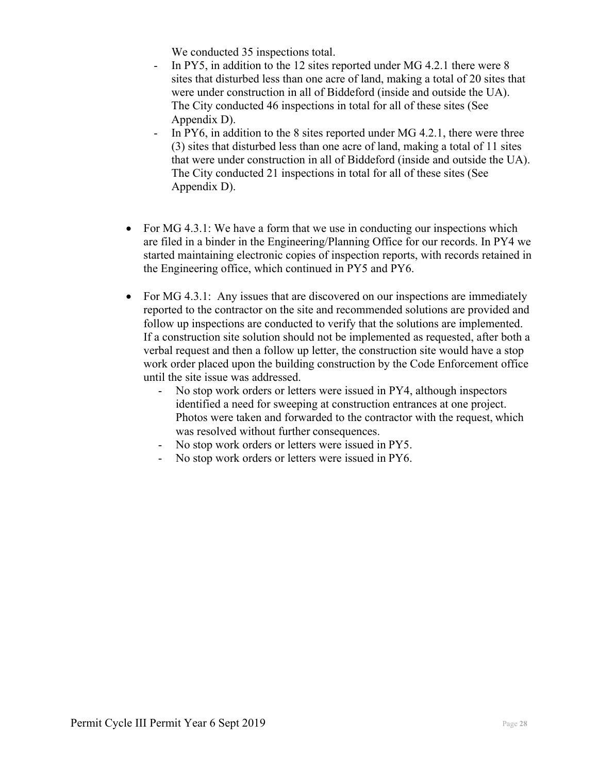We conducted 35 inspections total.

- In PY5, in addition to the 12 sites reported under MG 4.2.1 there were 8 sites that disturbed less than one acre of land, making a total of 20 sites that were under construction in all of Biddeford (inside and outside the UA). The City conducted 46 inspections in total for all of these sites (See Appendix D).
- In PY6, in addition to the 8 sites reported under MG 4.2.1, there were three (3) sites that disturbed less than one acre of land, making a total of 11 sites that were under construction in all of Biddeford (inside and outside the UA). The City conducted 21 inspections in total for all of these sites (See Appendix D).
- For MG 4.3.1: We have a form that we use in conducting our inspections which are filed in a binder in the Engineering/Planning Office for our records. In PY4 we started maintaining electronic copies of inspection reports, with records retained in the Engineering office, which continued in PY5 and PY6.
- For MG 4.3.1: Any issues that are discovered on our inspections are immediately reported to the contractor on the site and recommended solutions are provided and follow up inspections are conducted to verify that the solutions are implemented. If a construction site solution should not be implemented as requested, after both a verbal request and then a follow up letter, the construction site would have a stop work order placed upon the building construction by the Code Enforcement office until the site issue was addressed.
	- No stop work orders or letters were issued in PY4, although inspectors identified a need for sweeping at construction entrances at one project. Photos were taken and forwarded to the contractor with the request, which was resolved without further consequences.
	- No stop work orders or letters were issued in PY5.
	- No stop work orders or letters were issued in PY6.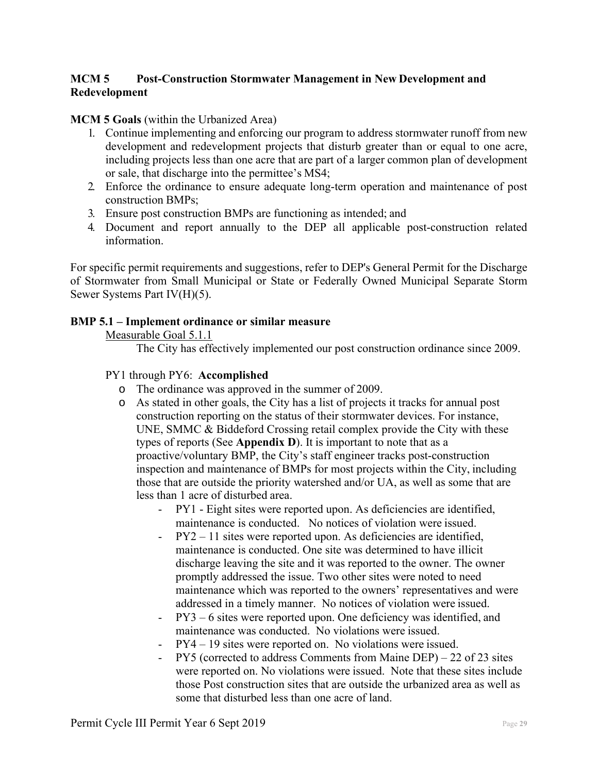## **MCM 5 Post-Construction Stormwater Management in New Development and Redevelopment**

#### **MCM 5 Goals** (within the Urbanized Area)

- 1. Continue implementing and enforcing our program to address stormwater runoff from new development and redevelopment projects that disturb greater than or equal to one acre, including projects less than one acre that are part of a larger common plan of development or sale, that discharge into the permittee's MS4;
- 2. Enforce the ordinance to ensure adequate long-term operation and maintenance of post construction BMPs;
- 3. Ensure post construction BMPs are functioning as intended; and
- 4. Document and report annually to the DEP all applicable post-construction related information.

For specific permit requirements and suggestions, refer to DEP's General Permit for the Discharge of Stormwater from Small Municipal or State or Federally Owned Municipal Separate Storm Sewer Systems Part IV(H)(5).

#### **BMP 5.1 – Implement ordinance or similar measure**

Measurable Goal 5.1.1

The City has effectively implemented our post construction ordinance since 2009.

#### PY1 through PY6: **Accomplished**

- o The ordinance was approved in the summer of 2009.
- o As stated in other goals, the City has a list of projects it tracks for annual post construction reporting on the status of their stormwater devices. For instance, UNE, SMMC & Biddeford Crossing retail complex provide the City with these types of reports (See **Appendix D**). It is important to note that as a proactive/voluntary BMP, the City's staff engineer tracks post-construction inspection and maintenance of BMPs for most projects within the City, including those that are outside the priority watershed and/or UA, as well as some that are less than 1 acre of disturbed area.
	- PY1 Eight sites were reported upon. As deficiencies are identified, maintenance is conducted. No notices of violation were issued.
	- PY2 11 sites were reported upon. As deficiencies are identified, maintenance is conducted. One site was determined to have illicit discharge leaving the site and it was reported to the owner. The owner promptly addressed the issue. Two other sites were noted to need maintenance which was reported to the owners' representatives and were addressed in a timely manner. No notices of violation were issued.
	- PY3 6 sites were reported upon. One deficiency was identified, and maintenance was conducted. No violations were issued.
	- PY4 19 sites were reported on. No violations were issued.
	- $PY5$  (corrected to address Comments from Maine DEP) 22 of 23 sites were reported on. No violations were issued. Note that these sites include those Post construction sites that are outside the urbanized area as well as some that disturbed less than one acre of land.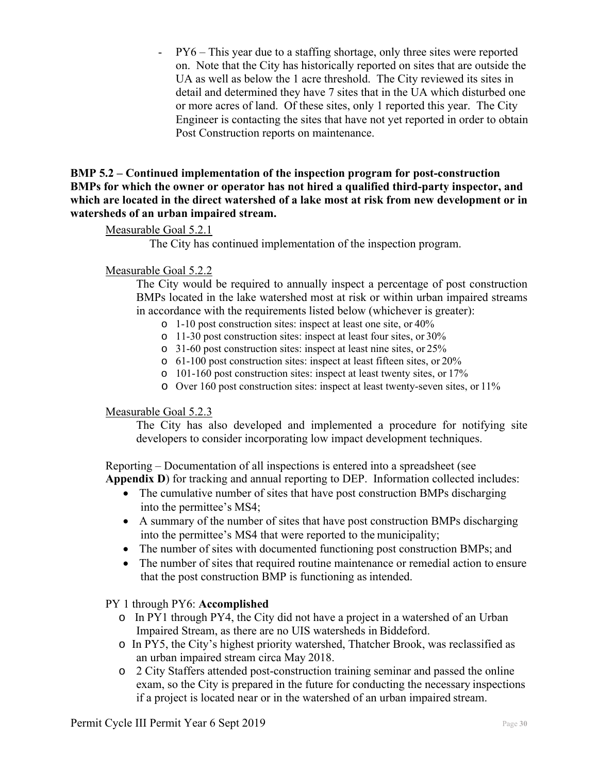PY6 – This year due to a staffing shortage, only three sites were reported on. Note that the City has historically reported on sites that are outside the UA as well as below the 1 acre threshold. The City reviewed its sites in detail and determined they have 7 sites that in the UA which disturbed one or more acres of land. Of these sites, only 1 reported this year. The City Engineer is contacting the sites that have not yet reported in order to obtain Post Construction reports on maintenance.

**BMP 5.2 – Continued implementation of the inspection program for post-construction BMPs for which the owner or operator has not hired a qualified third-party inspector, and which are located in the direct watershed of a lake most at risk from new development or in watersheds of an urban impaired stream.** 

## Measurable Goal 5.2.1

The City has continued implementation of the inspection program.

## Measurable Goal 5.2.2

The City would be required to annually inspect a percentage of post construction BMPs located in the lake watershed most at risk or within urban impaired streams in accordance with the requirements listed below (whichever is greater):

- o 1-10 post construction sites: inspect at least one site, or 40%
- o 11-30 post construction sites: inspect at least four sites, or 30%
- o 31-60 post construction sites: inspect at least nine sites, or 25%
- o 61-100 post construction sites: inspect at least fifteen sites, or 20%
- o 101-160 post construction sites: inspect at least twenty sites, or 17%
- o Over 160 post construction sites: inspect at least twenty-seven sites, or 11%

#### Measurable Goal 5.2.3

The City has also developed and implemented a procedure for notifying site developers to consider incorporating low impact development techniques.

Reporting – Documentation of all inspections is entered into a spreadsheet (see **Appendix D**) for tracking and annual reporting to DEP. Information collected includes:

- The cumulative number of sites that have post construction BMPs discharging into the permittee's MS4;
- A summary of the number of sites that have post construction BMPs discharging into the permittee's MS4 that were reported to the municipality;
- The number of sites with documented functioning post construction BMPs; and
- The number of sites that required routine maintenance or remedial action to ensure that the post construction BMP is functioning as intended.

#### PY 1 through PY6: **Accomplished**

- o In PY1 through PY4, the City did not have a project in a watershed of an Urban Impaired Stream, as there are no UIS watersheds in Biddeford.
- o In PY5, the City's highest priority watershed, Thatcher Brook, was reclassified as an urban impaired stream circa May 2018.
- o 2 City Staffers attended post-construction training seminar and passed the online exam, so the City is prepared in the future for conducting the necessary inspections if a project is located near or in the watershed of an urban impaired stream.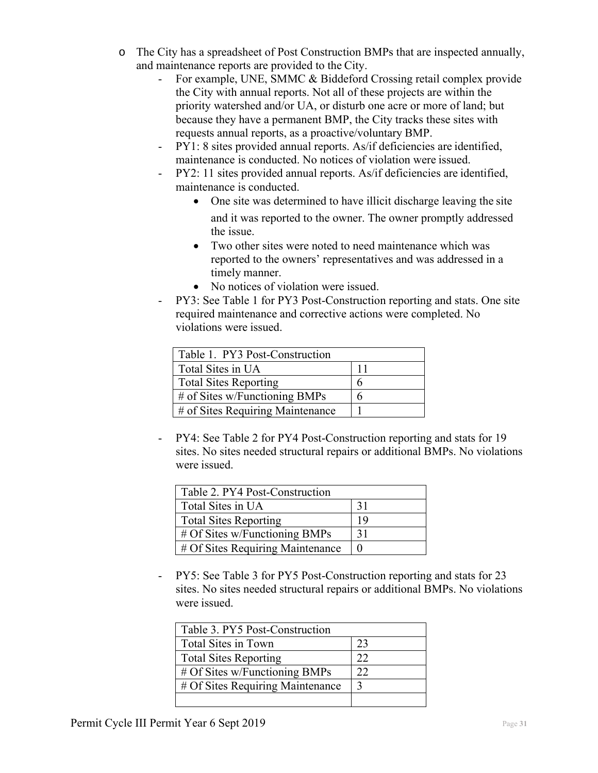- o The City has a spreadsheet of Post Construction BMPs that are inspected annually, and maintenance reports are provided to the City.
	- For example, UNE, SMMC & Biddeford Crossing retail complex provide the City with annual reports. Not all of these projects are within the priority watershed and/or UA, or disturb one acre or more of land; but because they have a permanent BMP, the City tracks these sites with requests annual reports, as a proactive/voluntary BMP.
	- PY1: 8 sites provided annual reports. As/if deficiencies are identified, maintenance is conducted. No notices of violation were issued.
	- PY2: 11 sites provided annual reports. As/if deficiencies are identified, maintenance is conducted.
		- One site was determined to have illicit discharge leaving the site and it was reported to the owner. The owner promptly addressed the issue.
		- Two other sites were noted to need maintenance which was reported to the owners' representatives and was addressed in a timely manner.
		- No notices of violation were issued.
	- PY3: See Table 1 for PY3 Post-Construction reporting and stats. One site required maintenance and corrective actions were completed. No violations were issued.

| Table 1. PY3 Post-Construction   |    |  |
|----------------------------------|----|--|
| Total Sites in UA                | 11 |  |
| <b>Total Sites Reporting</b>     | h  |  |
| # of Sites w/Functioning BMPs    | h  |  |
| # of Sites Requiring Maintenance |    |  |

- PY4: See Table 2 for PY4 Post-Construction reporting and stats for 19 sites. No sites needed structural repairs or additional BMPs. No violations were issued.

| Table 2. PY4 Post-Construction   |     |  |
|----------------------------------|-----|--|
| Total Sites in UA                | -31 |  |
| <b>Total Sites Reporting</b>     | 19  |  |
| # Of Sites w/Functioning BMPs    | 31  |  |
| # Of Sites Requiring Maintenance |     |  |

- PY5: See Table 3 for PY5 Post-Construction reporting and stats for 23 sites. No sites needed structural repairs or additional BMPs. No violations were issued.

| Table 3. PY5 Post-Construction   |    |  |
|----------------------------------|----|--|
| Total Sites in Town              | 23 |  |
| <b>Total Sites Reporting</b>     | フフ |  |
| # Of Sites w/Functioning BMPs    | 22 |  |
| # Of Sites Requiring Maintenance |    |  |
|                                  |    |  |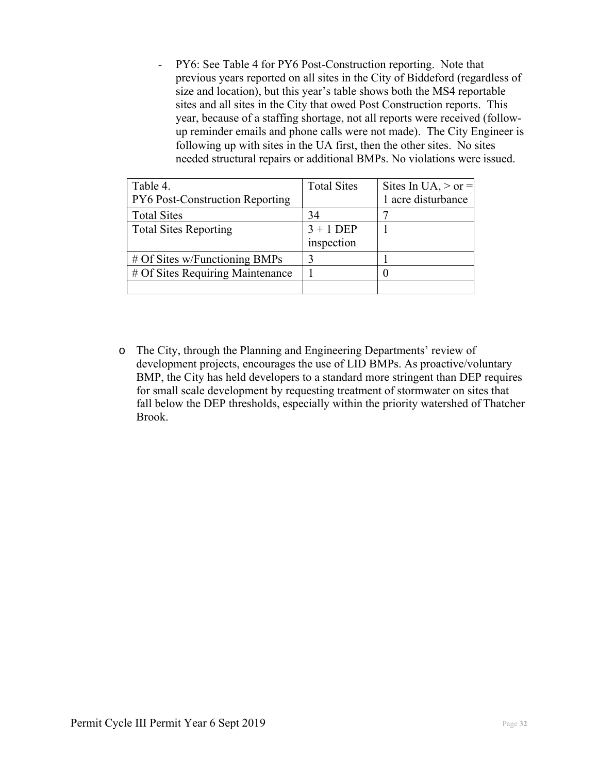PY6: See Table 4 for PY6 Post-Construction reporting. Note that previous years reported on all sites in the City of Biddeford (regardless of size and location), but this year's table shows both the MS4 reportable sites and all sites in the City that owed Post Construction reports. This year, because of a staffing shortage, not all reports were received (followup reminder emails and phone calls were not made). The City Engineer is following up with sites in the UA first, then the other sites. No sites needed structural repairs or additional BMPs. No violations were issued.

| Table 4.                         | <b>Total Sites</b> | Sites In UA, $>$ or $=$ |
|----------------------------------|--------------------|-------------------------|
| PY6 Post-Construction Reporting  |                    | 1 acre disturbance      |
| <b>Total Sites</b>               | 34                 |                         |
| <b>Total Sites Reporting</b>     | $3 + 1$ DEP        |                         |
|                                  | inspection         |                         |
| # Of Sites w/Functioning BMPs    |                    |                         |
| # Of Sites Requiring Maintenance |                    |                         |
|                                  |                    |                         |

o The City, through the Planning and Engineering Departments' review of development projects, encourages the use of LID BMPs. As proactive/voluntary BMP, the City has held developers to a standard more stringent than DEP requires for small scale development by requesting treatment of stormwater on sites that fall below the DEP thresholds, especially within the priority watershed of Thatcher Brook.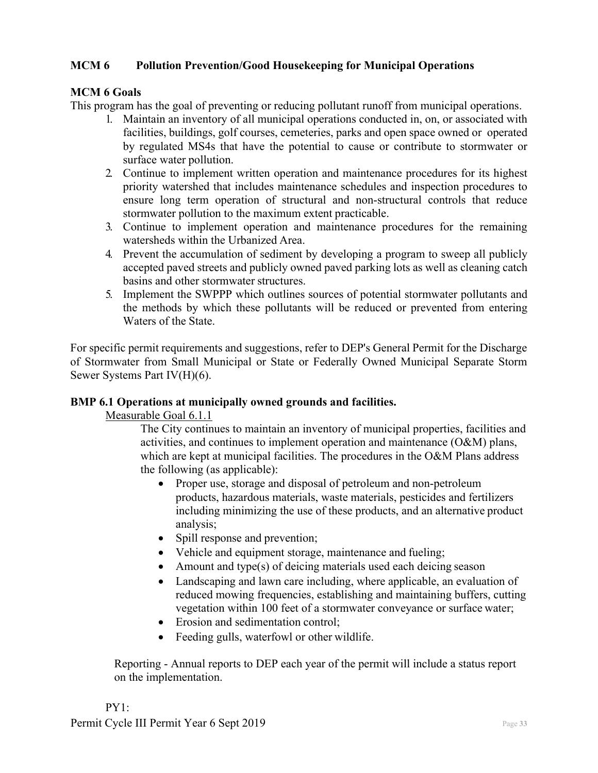## **MCM 6 Pollution Prevention/Good Housekeeping for Municipal Operations**

## **MCM 6 Goals**

This program has the goal of preventing or reducing pollutant runoff from municipal operations.

- 1. Maintain an inventory of all municipal operations conducted in, on, or associated with facilities, buildings, golf courses, cemeteries, parks and open space owned or operated by regulated MS4s that have the potential to cause or contribute to stormwater or surface water pollution.
- 2. Continue to implement written operation and maintenance procedures for its highest priority watershed that includes maintenance schedules and inspection procedures to ensure long term operation of structural and non-structural controls that reduce stormwater pollution to the maximum extent practicable.
- 3. Continue to implement operation and maintenance procedures for the remaining watersheds within the Urbanized Area.
- 4. Prevent the accumulation of sediment by developing a program to sweep all publicly accepted paved streets and publicly owned paved parking lots as well as cleaning catch basins and other stormwater structures.
- 5. Implement the SWPPP which outlines sources of potential stormwater pollutants and the methods by which these pollutants will be reduced or prevented from entering Waters of the State.

For specific permit requirements and suggestions, refer to DEP's General Permit for the Discharge of Stormwater from Small Municipal or State or Federally Owned Municipal Separate Storm Sewer Systems Part IV(H)(6).

#### **BMP 6.1 Operations at municipally owned grounds and facilities.**

Measurable Goal 6.1.1

The City continues to maintain an inventory of municipal properties, facilities and activities, and continues to implement operation and maintenance (O&M) plans, which are kept at municipal facilities. The procedures in the O&M Plans address the following (as applicable):

- Proper use, storage and disposal of petroleum and non-petroleum products, hazardous materials, waste materials, pesticides and fertilizers including minimizing the use of these products, and an alternative product analysis;
- Spill response and prevention;
- Vehicle and equipment storage, maintenance and fueling;
- Amount and type(s) of deicing materials used each deicing season
- Landscaping and lawn care including, where applicable, an evaluation of reduced mowing frequencies, establishing and maintaining buffers, cutting vegetation within 100 feet of a stormwater conveyance or surface water;
- Erosion and sedimentation control;
- Feeding gulls, waterfowl or other wildlife.

Reporting - Annual reports to DEP each year of the permit will include a status report on the implementation.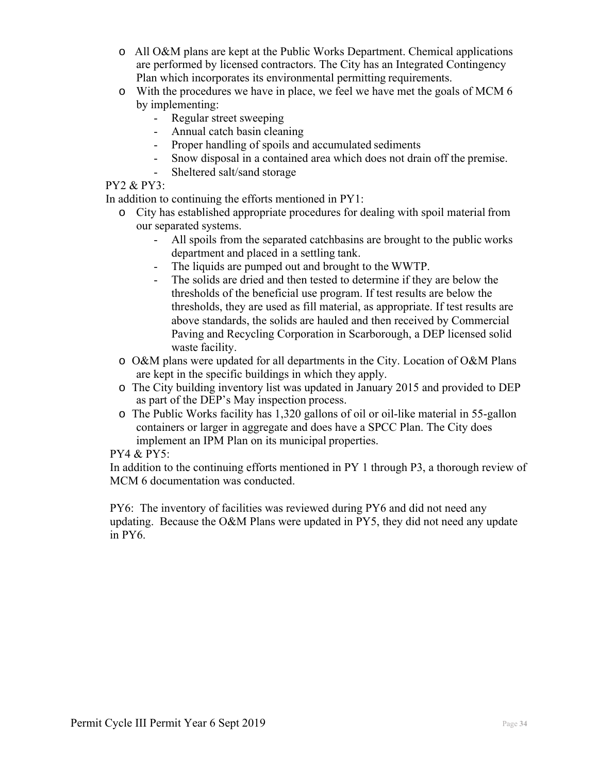- o All O&M plans are kept at the Public Works Department. Chemical applications are performed by licensed contractors. The City has an Integrated Contingency Plan which incorporates its environmental permitting requirements.
- o With the procedures we have in place, we feel we have met the goals of MCM 6 by implementing:
	- Regular street sweeping
	- Annual catch basin cleaning
	- Proper handling of spoils and accumulated sediments
	- Snow disposal in a contained area which does not drain off the premise.
	- Sheltered salt/sand storage

## PY2 & PY3:

In addition to continuing the efforts mentioned in PY1:

- o City has established appropriate procedures for dealing with spoil material from our separated systems.
	- All spoils from the separated catchbasins are brought to the public works department and placed in a settling tank.
	- The liquids are pumped out and brought to the WWTP.
	- The solids are dried and then tested to determine if they are below the thresholds of the beneficial use program. If test results are below the thresholds, they are used as fill material, as appropriate. If test results are above standards, the solids are hauled and then received by Commercial Paving and Recycling Corporation in Scarborough, a DEP licensed solid waste facility.
- o O&M plans were updated for all departments in the City. Location of O&M Plans are kept in the specific buildings in which they apply.
- o The City building inventory list was updated in January 2015 and provided to DEP as part of the DEP's May inspection process.
- o The Public Works facility has 1,320 gallons of oil or oil-like material in 55-gallon containers or larger in aggregate and does have a SPCC Plan. The City does implement an IPM Plan on its municipal properties.

## PY4 & PY5:

In addition to the continuing efforts mentioned in PY 1 through P3, a thorough review of MCM 6 documentation was conducted.

PY6: The inventory of facilities was reviewed during PY6 and did not need any updating. Because the O&M Plans were updated in PY5, they did not need any update in PY6.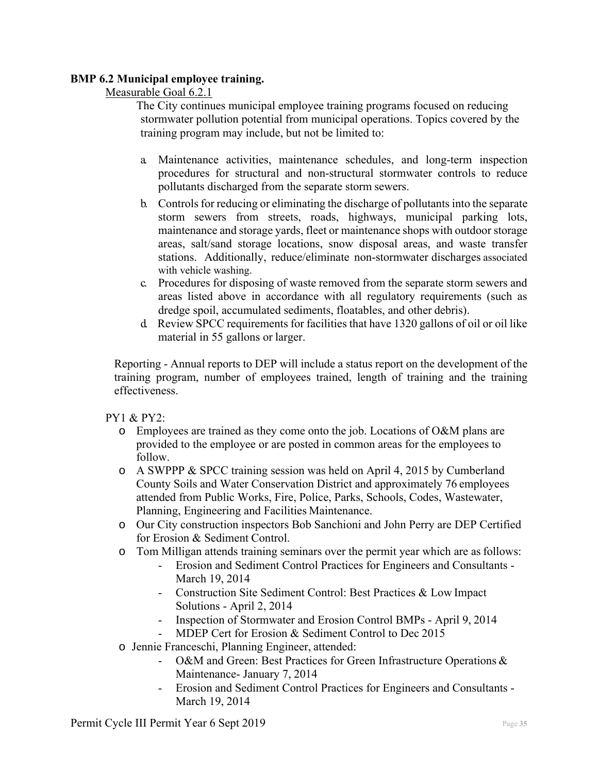## **BMP 6.2 Municipal employee training.**

## Measurable Goal 6.2.1

The City continues municipal employee training programs focused on reducing stormwater pollution potential from municipal operations. Topics covered by the training program may include, but not be limited to:

- a. Maintenance activities, maintenance schedules, and long-term inspection procedures for structural and non-structural stormwater controls to reduce pollutants discharged from the separate storm sewers.
- b. Controls for reducing or eliminating the discharge of pollutants into the separate storm sewers from streets, roads, highways, municipal parking lots, maintenance and storage yards, fleet or maintenance shops with outdoor storage areas, salt/sand storage locations, snow disposal areas, and waste transfer stations. Additionally, reduce/eliminate non-stormwater discharges associated with vehicle washing.
- c. Procedures for disposing of waste removed from the separate storm sewers and areas listed above in accordance with all regulatory requirements (such as dredge spoil, accumulated sediments, floatables, and other debris).
- d. Review SPCC requirements for facilities that have 1320 gallons of oil or oil like material in 55 gallons or larger.

Reporting - Annual reports to DEP will include a status report on the development of the training program, number of employees trained, length of training and the training effectiveness.

PY1 & PY2:

- $\circ$  Employees are trained as they come onto the job. Locations of O&M plans are provided to the employee or are posted in common areas for the employees to follow.
- o A SWPPP & SPCC training session was held on April 4, 2015 by Cumberland County Soils and Water Conservation District and approximately 76 employees attended from Public Works, Fire, Police, Parks, Schools, Codes, Wastewater, Planning, Engineering and Facilities Maintenance.
- o Our City construction inspectors Bob Sanchioni and John Perry are DEP Certified for Erosion & Sediment Control.
- o Tom Milligan attends training seminars over the permit year which are as follows:
	- Erosion and Sediment Control Practices for Engineers and Consultants March 19, 2014
	- Construction Site Sediment Control: Best Practices & Low Impact Solutions - April 2, 2014
	- Inspection of Stormwater and Erosion Control BMPs April 9, 2014
	- MDEP Cert for Erosion & Sediment Control to Dec 2015
- o Jennie Franceschi, Planning Engineer, attended:
	- O&M and Green: Best Practices for Green Infrastructure Operations & Maintenance- January 7, 2014
	- Erosion and Sediment Control Practices for Engineers and Consultants March 19, 2014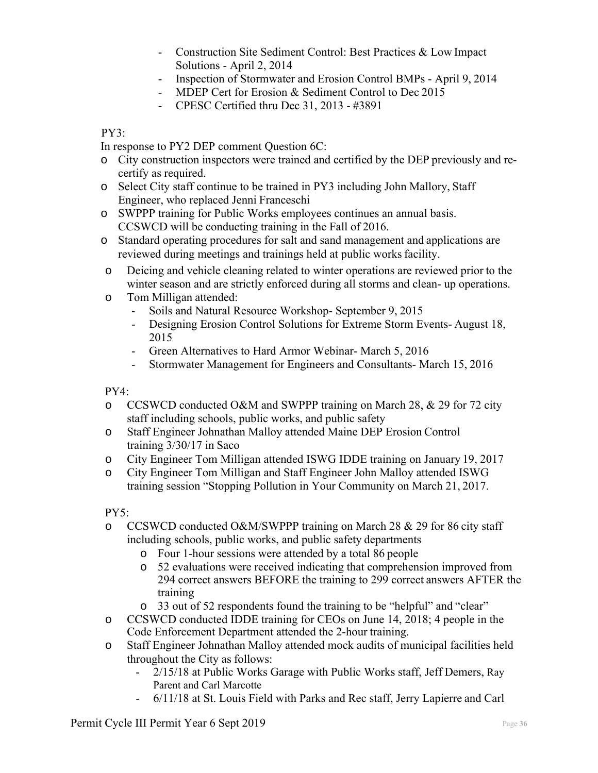- Construction Site Sediment Control: Best Practices & Low Impact Solutions - April 2, 2014
- Inspection of Stormwater and Erosion Control BMPs April 9, 2014
- MDEP Cert for Erosion & Sediment Control to Dec 2015
- CPESC Certified thru Dec 31, 2013 #3891

## PY3:

In response to PY2 DEP comment Question 6C:

- o City construction inspectors were trained and certified by the DEP previously and recertify as required.
- o Select City staff continue to be trained in PY3 including John Mallory, Staff Engineer, who replaced Jenni Franceschi
- o SWPPP training for Public Works employees continues an annual basis. CCSWCD will be conducting training in the Fall of 2016.
- o Standard operating procedures for salt and sand management and applications are reviewed during meetings and trainings held at public works facility.
- o Deicing and vehicle cleaning related to winter operations are reviewed prior to the winter season and are strictly enforced during all storms and clean- up operations.
- o Tom Milligan attended:
	- Soils and Natural Resource Workshop- September 9, 2015
	- Designing Erosion Control Solutions for Extreme Storm Events- August 18, 2015
	- Green Alternatives to Hard Armor Webinar- March 5, 2016
	- Stormwater Management for Engineers and Consultants- March 15, 2016

PY4:

- o CCSWCD conducted O&M and SWPPP training on March 28, & 29 for 72 city staff including schools, public works, and public safety
- o Staff Engineer Johnathan Malloy attended Maine DEP Erosion Control training 3/30/17 in Saco
- o City Engineer Tom Milligan attended ISWG IDDE training on January 19, 2017
- o City Engineer Tom Milligan and Staff Engineer John Malloy attended ISWG training session "Stopping Pollution in Your Community on March 21, 2017.

PY5:

- o CCSWCD conducted O&M/SWPPP training on March 28 & 29 for 86 city staff including schools, public works, and public safety departments
	- o Four 1-hour sessions were attended by a total 86 people
	- o 52 evaluations were received indicating that comprehension improved from 294 correct answers BEFORE the training to 299 correct answers AFTER the training
	- o 33 out of 52 respondents found the training to be "helpful" and "clear"
- o CCSWCD conducted IDDE training for CEOs on June 14, 2018; 4 people in the Code Enforcement Department attended the 2-hour training.
- o Staff Engineer Johnathan Malloy attended mock audits of municipal facilities held throughout the City as follows:
	- 2/15/18 at Public Works Garage with Public Works staff, Jeff Demers, Ray Parent and Carl Marcotte
	- 6/11/18 at St. Louis Field with Parks and Rec staff, Jerry Lapierre and Carl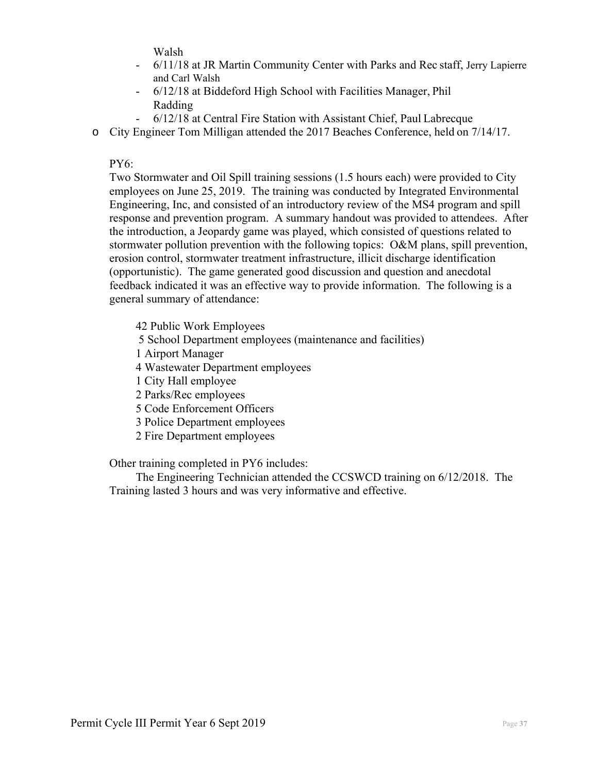Walsh

- 6/11/18 at JR Martin Community Center with Parks and Rec staff, Jerry Lapierre and Carl Walsh
- 6/12/18 at Biddeford High School with Facilities Manager, Phil Radding
- 6/12/18 at Central Fire Station with Assistant Chief, Paul Labrecque
- o City Engineer Tom Milligan attended the 2017 Beaches Conference, held on 7/14/17.

PY6:

Two Stormwater and Oil Spill training sessions (1.5 hours each) were provided to City employees on June 25, 2019. The training was conducted by Integrated Environmental Engineering, Inc, and consisted of an introductory review of the MS4 program and spill response and prevention program. A summary handout was provided to attendees. After the introduction, a Jeopardy game was played, which consisted of questions related to stormwater pollution prevention with the following topics: O&M plans, spill prevention, erosion control, stormwater treatment infrastructure, illicit discharge identification (opportunistic). The game generated good discussion and question and anecdotal feedback indicated it was an effective way to provide information. The following is a general summary of attendance:

42 Public Work Employees 5 School Department employees (maintenance and facilities) 1 Airport Manager 4 Wastewater Department employees 1 City Hall employee 2 Parks/Rec employees 5 Code Enforcement Officers 3 Police Department employees 2 Fire Department employees

Other training completed in PY6 includes:

 The Engineering Technician attended the CCSWCD training on 6/12/2018. The Training lasted 3 hours and was very informative and effective.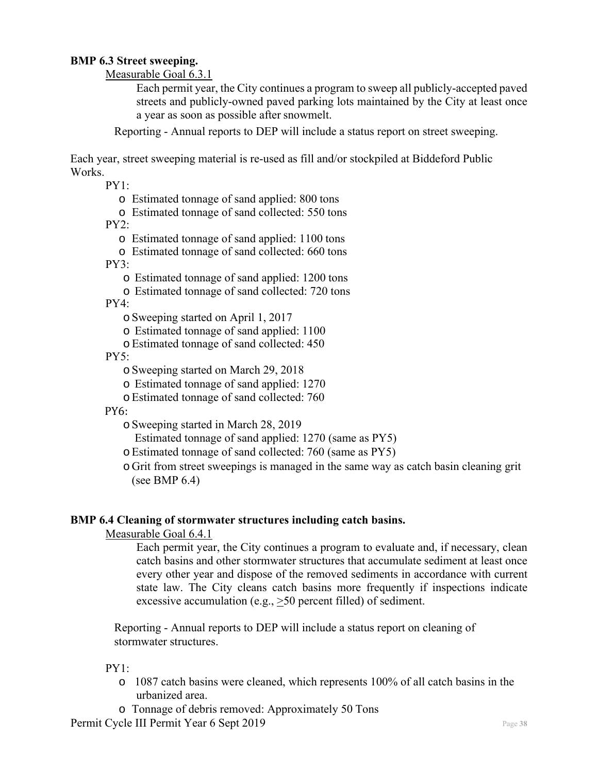## **BMP 6.3 Street sweeping.**

Measurable Goal 6.3.1

Each permit year, the City continues a program to sweep all publicly-accepted paved streets and publicly-owned paved parking lots maintained by the City at least once a year as soon as possible after snowmelt.

Reporting - Annual reports to DEP will include a status report on street sweeping.

Each year, street sweeping material is re-used as fill and/or stockpiled at Biddeford Public Works.

 $PY1:$ 

- o Estimated tonnage of sand applied: 800 tons
- o Estimated tonnage of sand collected: 550 tons

 $PY2:$ 

- o Estimated tonnage of sand applied: 1100 tons
- o Estimated tonnage of sand collected: 660 tons

PY3:

- o Estimated tonnage of sand applied: 1200 tons
- o Estimated tonnage of sand collected: 720 tons

PY4:

- oSweeping started on April 1, 2017
- o Estimated tonnage of sand applied: 1100
- o Estimated tonnage of sand collected: 450

 $PY5:$ 

- oSweeping started on March 29, 2018
- o Estimated tonnage of sand applied: 1270
- oEstimated tonnage of sand collected: 760

PY6:

- oSweeping started in March 28, 2019
	- Estimated tonnage of sand applied: 1270 (same as PY5)
- oEstimated tonnage of sand collected: 760 (same as PY5)
- o Grit from street sweepings is managed in the same way as catch basin cleaning grit (see BMP 6.4)

#### **BMP 6.4 Cleaning of stormwater structures including catch basins.**

Measurable Goal 6.4.1

Each permit year, the City continues a program to evaluate and, if necessary, clean catch basins and other stormwater structures that accumulate sediment at least once every other year and dispose of the removed sediments in accordance with current state law. The City cleans catch basins more frequently if inspections indicate excessive accumulation (e.g., >50 percent filled) of sediment.

Reporting - Annual reports to DEP will include a status report on cleaning of stormwater structures.

 $PY1$ 

- $\circ$  1087 catch basins were cleaned, which represents 100% of all catch basins in the urbanized area.
- o Tonnage of debris removed: Approximately 50 Tons

Permit Cycle III Permit Year 6 Sept 2019 Page 38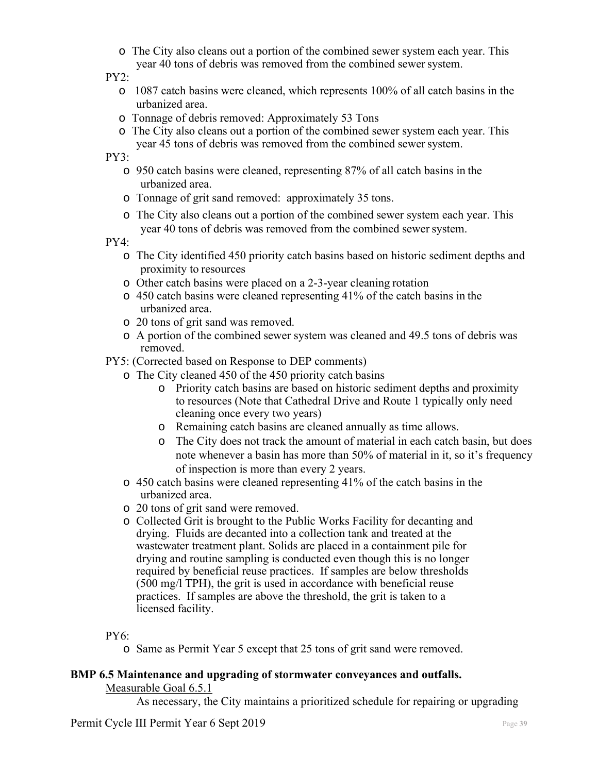o The City also cleans out a portion of the combined sewer system each year. This year 40 tons of debris was removed from the combined sewer system.

#### PY2:

- o 1087 catch basins were cleaned, which represents 100% of all catch basins in the urbanized area.
- o Tonnage of debris removed: Approximately 53 Tons
- o The City also cleans out a portion of the combined sewer system each year. This year 45 tons of debris was removed from the combined sewer system.

PY3:

- o 950 catch basins were cleaned, representing 87% of all catch basins in the urbanized area.
- o Tonnage of grit sand removed: approximately 35 tons.
- o The City also cleans out a portion of the combined sewer system each year. This year 40 tons of debris was removed from the combined sewer system.

PY4:

- o The City identified 450 priority catch basins based on historic sediment depths and proximity to resources
- o Other catch basins were placed on a 2-3-year cleaning rotation
- o 450 catch basins were cleaned representing 41% of the catch basins in the urbanized area.
- o 20 tons of grit sand was removed.
- o A portion of the combined sewer system was cleaned and 49.5 tons of debris was removed.

PY5: (Corrected based on Response to DEP comments)

- o The City cleaned 450 of the 450 priority catch basins
	- o Priority catch basins are based on historic sediment depths and proximity to resources (Note that Cathedral Drive and Route 1 typically only need cleaning once every two years)
	- o Remaining catch basins are cleaned annually as time allows.
	- o The City does not track the amount of material in each catch basin, but does note whenever a basin has more than 50% of material in it, so it's frequency of inspection is more than every 2 years.
- o 450 catch basins were cleaned representing 41% of the catch basins in the urbanized area.
- o 20 tons of grit sand were removed.
- o Collected Grit is brought to the Public Works Facility for decanting and drying. Fluids are decanted into a collection tank and treated at the wastewater treatment plant. Solids are placed in a containment pile for drying and routine sampling is conducted even though this is no longer required by beneficial reuse practices. If samples are below thresholds (500 mg/l TPH), the grit is used in accordance with beneficial reuse practices. If samples are above the threshold, the grit is taken to a licensed facility.

PY6:

o Same as Permit Year 5 except that 25 tons of grit sand were removed.

#### **BMP 6.5 Maintenance and upgrading of stormwater conveyances and outfalls.**  Measurable Goal 6.5.1

As necessary, the City maintains a prioritized schedule for repairing or upgrading

Permit Cycle III Permit Year 6 Sept 2019 **Page 39** Page 39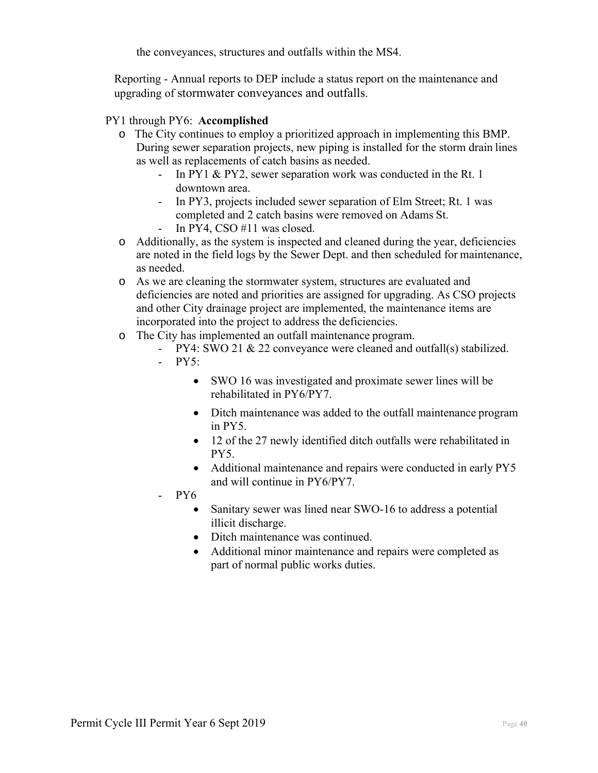the conveyances, structures and outfalls within the MS4.

Reporting - Annual reports to DEP include a status report on the maintenance and upgrading of stormwater conveyances and outfalls.

## PY1 through PY6: **Accomplished**

- o The City continues to employ a prioritized approach in implementing this BMP. During sewer separation projects, new piping is installed for the storm drain lines as well as replacements of catch basins as needed.
	- In PY1 & PY2, sewer separation work was conducted in the Rt. 1 downtown area.
	- In PY3, projects included sewer separation of Elm Street; Rt. 1 was completed and 2 catch basins were removed on Adams St. In PY4, CSO  $#11$  was closed.
- o Additionally, as the system is inspected and cleaned during the year, deficiencies are noted in the field logs by the Sewer Dept. and then scheduled for maintenance, as needed.
- o As we are cleaning the stormwater system, structures are evaluated and deficiencies are noted and priorities are assigned for upgrading. As CSO projects and other City drainage project are implemented, the maintenance items are incorporated into the project to address the deficiencies.
- o The City has implemented an outfall maintenance program.
	- PY4: SWO 21 & 22 conveyance were cleaned and outfall(s) stabilized.
		- $-$  PY5:
			- SWO 16 was investigated and proximate sewer lines will be rehabilitated in PY6/PY7.
			- Ditch maintenance was added to the outfall maintenance program in PY5.
			- 12 of the 27 newly identified ditch outfalls were rehabilitated in PY5.
			- Additional maintenance and repairs were conducted in early PY5 and will continue in PY6/PY7.
		- PY6
			- Sanitary sewer was lined near SWO-16 to address a potential illicit discharge.
			- Ditch maintenance was continued.
			- Additional minor maintenance and repairs were completed as part of normal public works duties.